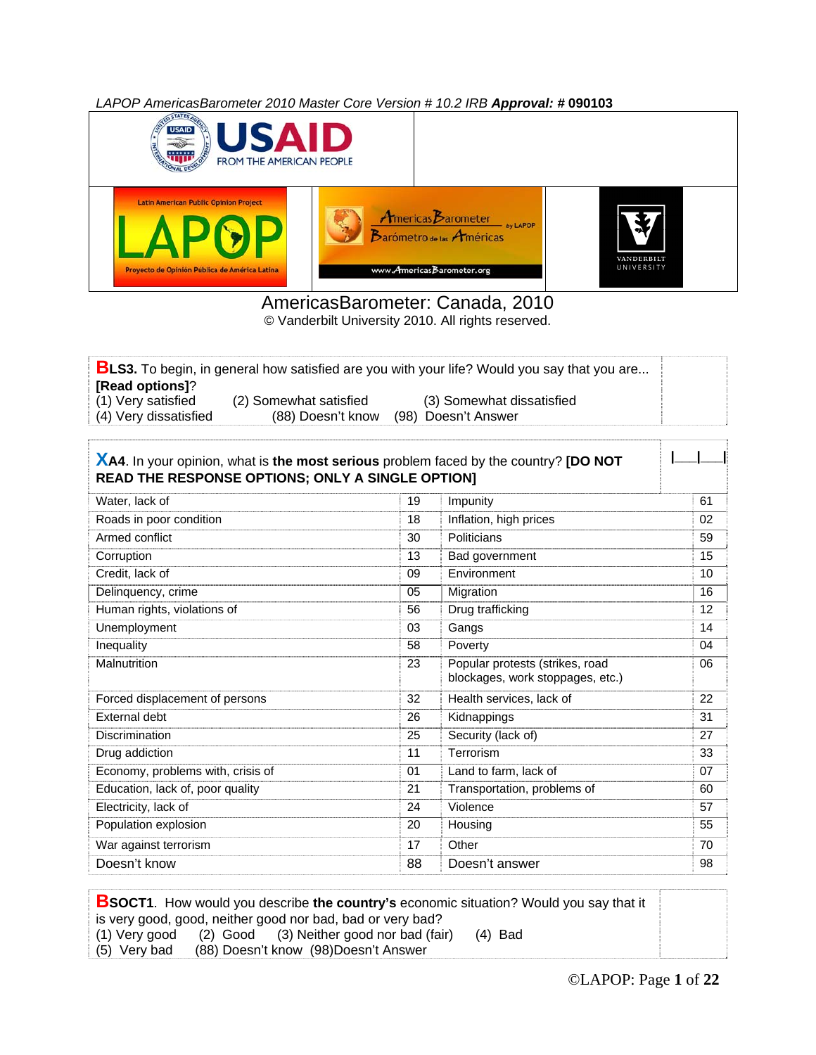*LAPOP AmericasBarometer 2010 Master Core Version # 10.2 IRB Approval: #* **090103**



### AmericasBarometer: Canada, 2010

© Vanderbilt University 2010. All rights reserved.

|                       |                        | <b>BLS3.</b> To begin, in general how satisfied are you with your life? Would you say that you are |  |
|-----------------------|------------------------|----------------------------------------------------------------------------------------------------|--|
| [Read options]?       |                        |                                                                                                    |  |
| (1) Very satisfied    | (2) Somewhat satisfied | (3) Somewhat dissatisfied                                                                          |  |
| (4) Very dissatisfied | (88) Doesn't know      | (98) Doesn't Answer                                                                                |  |

| XA4. In your opinion, what is the most serious problem faced by the country? [DO NOT<br>READ THE RESPONSE OPTIONS; ONLY A SINGLE OPTION] |    |                                                                     |    |
|------------------------------------------------------------------------------------------------------------------------------------------|----|---------------------------------------------------------------------|----|
| Water, lack of                                                                                                                           | 19 | Impunity                                                            | 61 |
| Roads in poor condition                                                                                                                  | 18 | Inflation, high prices                                              | 02 |
| Armed conflict                                                                                                                           | 30 | Politicians                                                         | 59 |
| Corruption                                                                                                                               | 13 | Bad government                                                      | 15 |
| Credit, lack of                                                                                                                          | 09 | Environment                                                         | 10 |
| Delinquency, crime                                                                                                                       | 05 | Migration                                                           | 16 |
| Human rights, violations of                                                                                                              | 56 | Drug trafficking                                                    | 12 |
| Unemployment                                                                                                                             | 03 | Gangs                                                               | 14 |
| Inequality                                                                                                                               | 58 | Poverty                                                             | 04 |
| Malnutrition                                                                                                                             | 23 | Popular protests (strikes, road<br>blockages, work stoppages, etc.) | 06 |
| Forced displacement of persons                                                                                                           | 32 | Health services, lack of                                            | 22 |
| External debt                                                                                                                            | 26 | Kidnappings                                                         | 31 |
| Discrimination                                                                                                                           | 25 | Security (lack of)                                                  | 27 |
| Drug addiction                                                                                                                           | 11 | Terrorism                                                           | 33 |
| Economy, problems with, crisis of                                                                                                        | 01 | Land to farm, lack of                                               | 07 |
| Education, lack of, poor quality                                                                                                         | 21 | Transportation, problems of                                         | 60 |
| Electricity, lack of                                                                                                                     | 24 | Violence                                                            | 57 |
| Population explosion                                                                                                                     | 20 | Housing                                                             | 55 |
| War against terrorism                                                                                                                    | 17 | Other                                                               | 70 |
| Doesn't know                                                                                                                             | 88 | Doesn't answer                                                      | 98 |

#### **BSOCT1**. How would you describe **the country's** economic situation? Would you say that it

is very good, good, neither good nor bad, bad or very bad?<br>(1) Very good (2) Good (3) Neither good nor bad (fair

- (3) Neither good nor bad (fair) (4) Bad
- (5) Very bad (88) Doesn't know (98)Doesn't Answer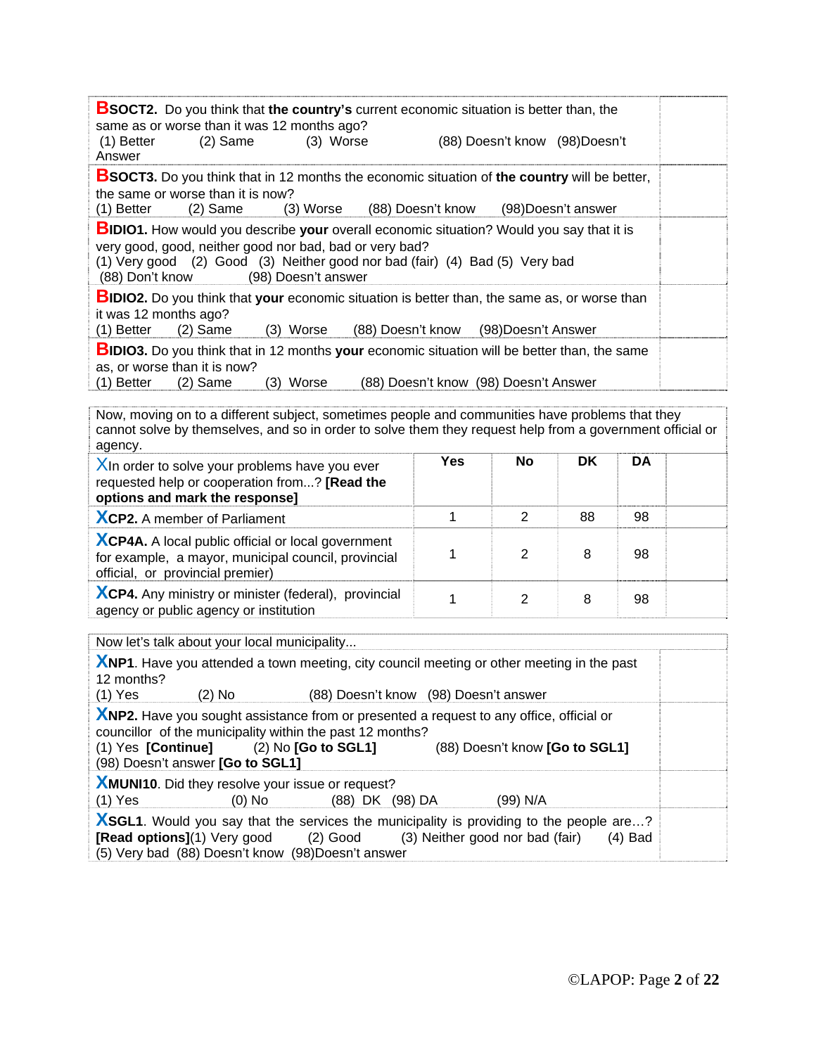| <b>BSOCT2.</b> Do you think that the country's current economic situation is better than, the<br>same as or worse than it was 12 months ago?<br>$(1)$ Better<br>$(2)$ Same<br>(3) Worse<br>Answer                                                                                   |                                       | (88) Doesn't know (98) Doesn't |                     |           |  |
|-------------------------------------------------------------------------------------------------------------------------------------------------------------------------------------------------------------------------------------------------------------------------------------|---------------------------------------|--------------------------------|---------------------|-----------|--|
| <b>BSOCT3.</b> Do you think that in 12 months the economic situation of the country will be better,<br>the same or worse than it is now?<br>(1) Better<br>$(2)$ Same<br>(3) Worse                                                                                                   | (88) Doesn't know                     |                                | (98) Doesn't answer |           |  |
| <b>BIDIO1.</b> How would you describe your overall economic situation? Would you say that it is<br>very good, good, neither good nor bad, bad or very bad?<br>(1) Very good (2) Good (3) Neither good nor bad (fair) (4) Bad (5) Very bad<br>(88) Don't know<br>(98) Doesn't answer |                                       |                                |                     |           |  |
| <b>BIDIO2.</b> Do you think that your economic situation is better than, the same as, or worse than<br>it was 12 months ago?<br>$(2)$ Same<br>(1) Better<br>(3) Worse<br>(88) Doesn't know                                                                                          |                                       | (98) Doesn't Answer            |                     |           |  |
| <b>BIDIO3.</b> Do you think that in 12 months your economic situation will be better than, the same<br>as, or worse than it is now?<br>(3) Worse<br>$(1)$ Better<br>$(2)$ Same                                                                                                      | (88) Doesn't know (98) Doesn't Answer |                                |                     |           |  |
| Now, moving on to a different subject, sometimes people and communities have problems that they<br>cannot solve by themselves, and so in order to solve them they request help from a government official or<br>agency.                                                             |                                       |                                |                     |           |  |
| $X$ In order to solve your problems have you ever<br>requested help or cooperation from? [Read the<br>options and mark the response]                                                                                                                                                | <b>Yes</b>                            | <b>No</b>                      | <b>DK</b>           | <b>DA</b> |  |
| XCP2. A member of Parliament                                                                                                                                                                                                                                                        | 1                                     | $\overline{2}$                 | 88                  | 98        |  |
| <b>XCP4A.</b> A local public official or local government<br>for example, a mayor, municipal council, provincial<br>official, or provincial premier)                                                                                                                                | 1                                     | $\overline{2}$                 | 8                   | 98        |  |
| <b>XCP4.</b> Any ministry or minister (federal), provincial<br>agency or public agency or institution                                                                                                                                                                               | 1                                     | $\overline{2}$                 | 8                   | 98        |  |
| Now let's talk about your local municipality                                                                                                                                                                                                                                        |                                       |                                |                     |           |  |
| XNP1. Have you attended a town meeting, city council meeting or other meeting in the past<br>12 months?<br>(1) Yes<br>(2) No<br>(88) Doesn't know (98) Doesn't answer                                                                                                               |                                       |                                |                     |           |  |
| XNP2. Have you sought assistance from or presented a request to any office, official or<br>councillor of the municipality within the past 12 months?<br>(1) Yes [Continue]<br>$(2)$ No $[Go$ to $SGL1]$<br>(98) Doesn't answer [Go to SGL1]                                         |                                       | (88) Doesn't know [Go to SGL1] |                     |           |  |
| <b>XMUNI10.</b> Did they resolve your issue or request?<br>$(1)$ Yes<br>$(0)$ No<br>(88) DK (98) DA                                                                                                                                                                                 |                                       | (99) N/A                       |                     |           |  |

**XSGL1**. Would you say that the services the municipality is providing to the people are...? **[Read options]**(1) Very good (2) Good (3) Neither good nor bad (fair) (4) Bad (5) Very bad (88) Doesn't know (98)Doesn't answer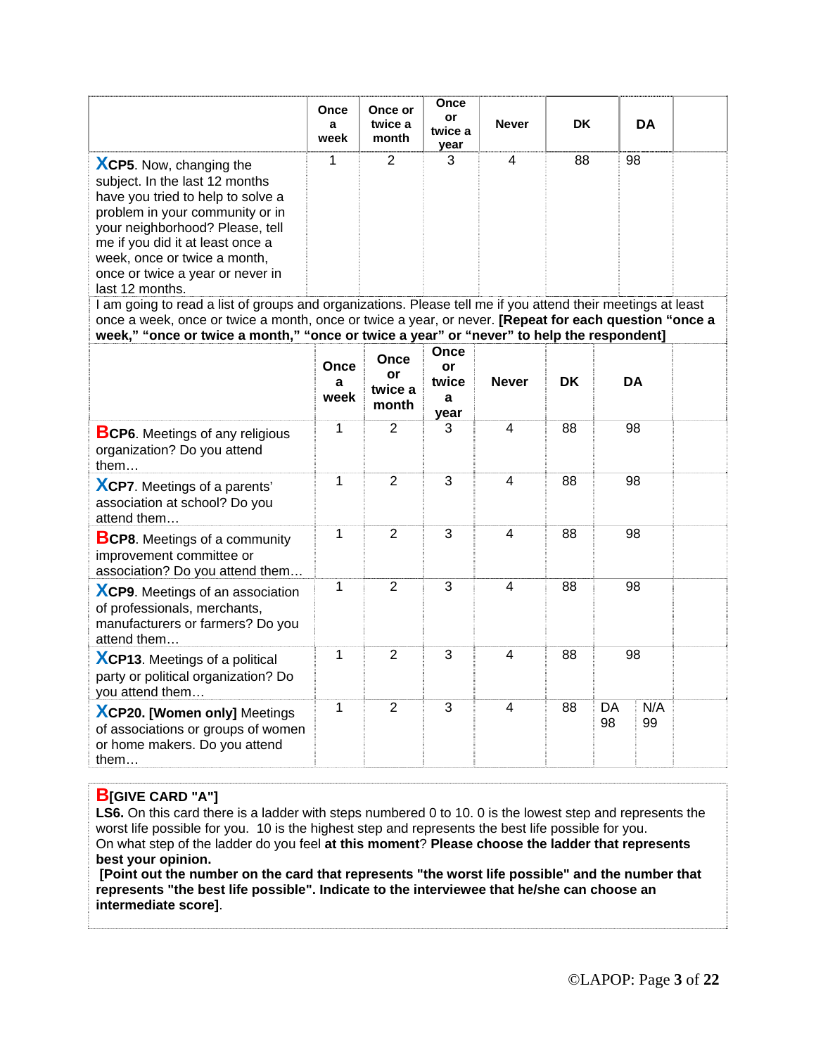|                                                                                                                                                                                                                                                                                                                                                                                                                       | Once<br>a<br>week | Once or<br>twice a<br>month    | Once<br>or<br>twice a<br>year    | <b>Never</b>   | <b>DK</b> |           | DA        |  |
|-----------------------------------------------------------------------------------------------------------------------------------------------------------------------------------------------------------------------------------------------------------------------------------------------------------------------------------------------------------------------------------------------------------------------|-------------------|--------------------------------|----------------------------------|----------------|-----------|-----------|-----------|--|
| <b>XCP5.</b> Now, changing the<br>subject. In the last 12 months<br>have you tried to help to solve a<br>problem in your community or in<br>your neighborhood? Please, tell<br>me if you did it at least once a<br>week, once or twice a month,<br>once or twice a year or never in<br>last 12 months.<br>I am going to read a list of groups and organizations. Please tell me if you attend their meetings at least | 1                 | $\overline{2}$                 | 3                                | 4              | 88        | 98        |           |  |
| once a week, once or twice a month, once or twice a year, or never. [Repeat for each question "once a<br>week," "once or twice a month," "once or twice a year" or "never" to help the respondent]                                                                                                                                                                                                                    |                   |                                |                                  |                |           |           |           |  |
|                                                                                                                                                                                                                                                                                                                                                                                                                       | Once<br>a<br>week | Once<br>or<br>twice a<br>month | Once<br>or<br>twice<br>a<br>year | <b>Never</b>   | <b>DK</b> | <b>DA</b> |           |  |
| <b>BCP6.</b> Meetings of any religious<br>organization? Do you attend<br>them                                                                                                                                                                                                                                                                                                                                         | $\mathbf{1}$      | 2                              | 3                                | 4              | 88        | 98        |           |  |
| <b>XCP7.</b> Meetings of a parents'<br>association at school? Do you<br>attend them                                                                                                                                                                                                                                                                                                                                   | $\mathbf{1}$      | $\overline{2}$                 | 3                                | $\overline{4}$ | 88        | 98        |           |  |
| <b>BCP8.</b> Meetings of a community<br>improvement committee or<br>association? Do you attend them                                                                                                                                                                                                                                                                                                                   | $\mathbf{1}$      | $\overline{2}$                 | 3                                | 4              | 88        | 98        |           |  |
| XCP9. Meetings of an association<br>of professionals, merchants,<br>manufacturers or farmers? Do you<br>attend them                                                                                                                                                                                                                                                                                                   | 1                 | $\overline{2}$                 | 3                                | 4              | 88        | 98        |           |  |
| XCP13. Meetings of a political<br>party or political organization? Do<br>you attend them                                                                                                                                                                                                                                                                                                                              | $\mathbf{1}$      | $\overline{2}$                 | 3                                | 4              | 88        | 98        |           |  |
| <b>XCP20. [Women only] Meetings</b><br>of associations or groups of women<br>or home makers. Do you attend<br>them $\dots$                                                                                                                                                                                                                                                                                            | $\mathbf{1}$      | 2                              | 3                                | 4              | 88        | DA<br>98  | N/A<br>99 |  |

#### **B[GIVE CARD "A"]**

LS6. On this card there is a ladder with steps numbered 0 to 10. 0 is the lowest step and represents the worst life possible for you. 10 is the highest step and represents the best life possible for you. On what step of the ladder do you feel **at this moment**? **Please choose the ladder that represents best your opinion.**

**[Point out the number on the card that represents "the worst life possible" and the number that represents "the best life possible". Indicate to the interviewee that he/she can choose an intermediate score]**.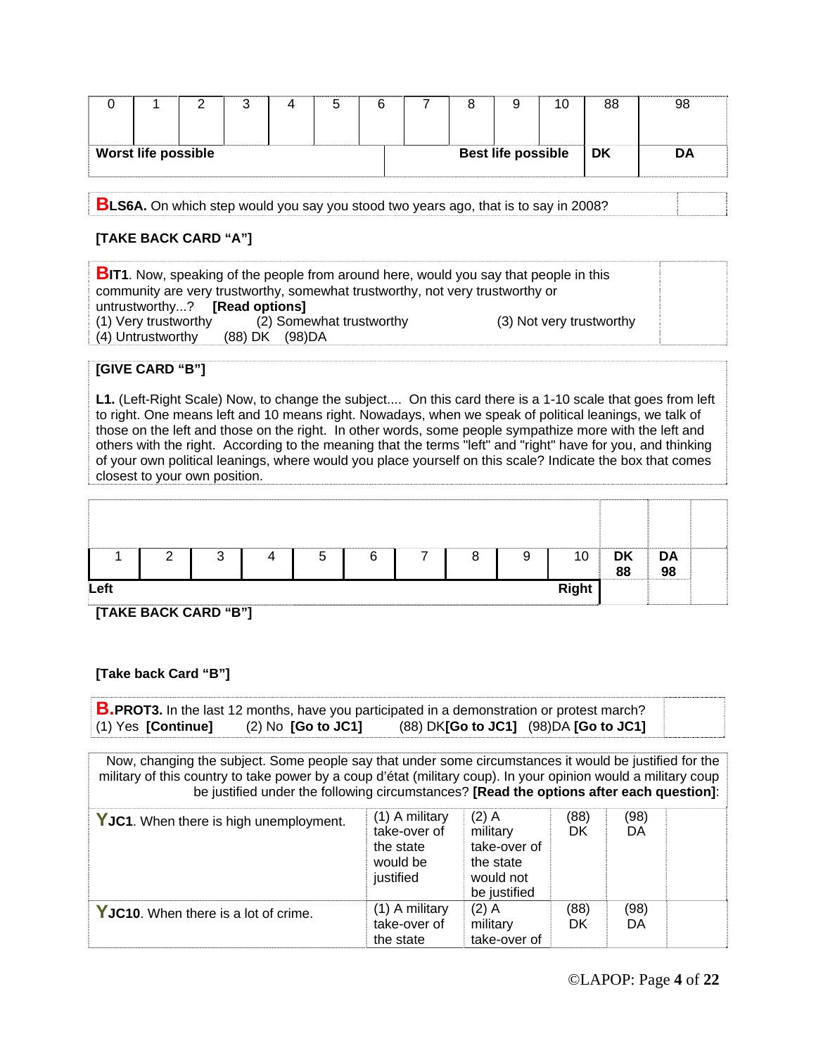|                            |  |  |  |                           | 10 | 88 | 98 |
|----------------------------|--|--|--|---------------------------|----|----|----|
| <b>Worst life possible</b> |  |  |  | <b>Best life possible</b> |    | DK | DA |

**BLS6A.** On which step would you say you stood two years ago, that is to say in 2008?

#### **[TAKE BACK CARD "A"]**

**BIT1**. Now, speaking of the people from around here, would you say that people in this community are very trustworthy, somewhat trustworthy, not very trustworthy or untrustworthy...? **[Read options]**  (1) Very trustworthy (2) Somewhat trustworthy (3) Not very trustworthy (4) Untrustworthy (88) DK (98) DA (88) DK (98) DA

#### **[GIVE CARD "B"]**

**L1.** (Left-Right Scale) Now, to change the subject.... On this card there is a 1-10 scale that goes from left to right. One means left and 10 means right. Nowadays, when we speak of political leanings, we talk of those on the left and those on the right. In other words, some people sympathize more with the left and others with the right. According to the meaning that the terms "left" and "right" have for you, and thinking of your own political leanings, where would you place yourself on this scale? Indicate the box that comes closest to your own position.

|      | <u>_</u> | ર<br>ບ | 5 | 6 | 8 | 9 | 10           | <b>DK</b><br>88<br>,,,,,,,,,,,,,,,,,,,,,,,,,,,,,, | <b>DA</b><br>98 |  |
|------|----------|--------|---|---|---|---|--------------|---------------------------------------------------|-----------------|--|
| Left |          |        |   |   |   |   | <b>Right</b> |                                                   |                 |  |

**[TAKE BACK CARD "B"]** 

#### **[Take back Card "B"]**

| <b>B.PROT3.</b> In the last 12 months, have you participated in a demonstration or protest march? |                                   |                                            |  |
|---------------------------------------------------------------------------------------------------|-----------------------------------|--------------------------------------------|--|
| $(1)$ Yes [Continue]                                                                              | $(2)$ No $\overline{1}$ Go to JC1 | $(88)$ DK[Go to JC1] $(98)$ DA [Go to JC1] |  |

Now, changing the subject. Some people say that under some circumstances it would be justified for the military of this country to take power by a coup d'état (military coup). In your opinion would a military coup be justified under the following circumstances? **[Read the options after each question]**:

| YJC1. When there is high unemployment. | (1) A military<br>take-over of<br>the state<br>would be<br>justified | $(2)$ A<br>military<br>take-over of<br>the state<br>would not<br>be justified | (88)<br>DK | (98)<br>DA |  |
|----------------------------------------|----------------------------------------------------------------------|-------------------------------------------------------------------------------|------------|------------|--|
| YJC10. When there is a lot of crime.   | (1) A military<br>take-over of<br>the state                          | $(2)$ A<br>military<br>take-over of                                           | (88)<br>DK | (98)<br>DA |  |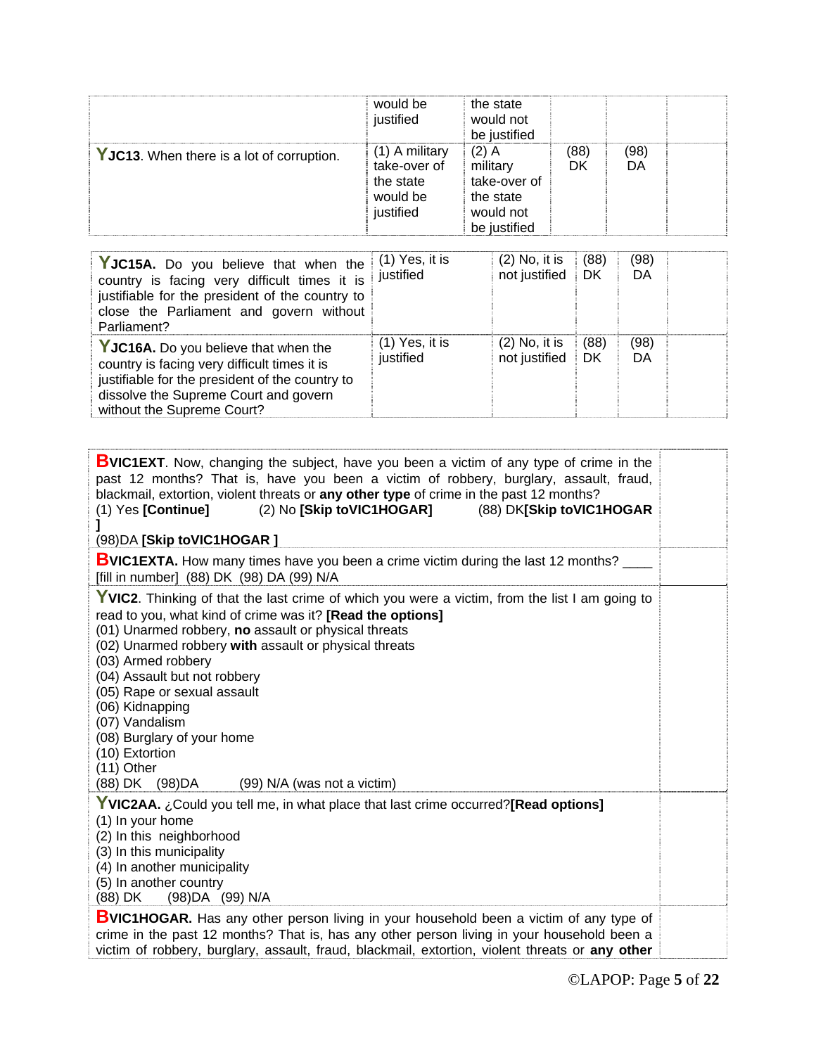|                                           | would be<br>justified                                                | the state<br>would not<br>be justified                                        |            |            |  |
|-------------------------------------------|----------------------------------------------------------------------|-------------------------------------------------------------------------------|------------|------------|--|
| YJC13. When there is a lot of corruption. | (1) A military<br>take-over of<br>the state<br>would be<br>justified | $(2)$ A<br>military<br>take-over of<br>the state<br>would not<br>be justified | (88)<br>DK | (98)<br>DA |  |

| YJC15A. Do you believe that when the<br>country is facing very difficult times it is<br>justifiable for the president of the country to<br>close the Parliament and govern without<br>Parliament?              | $(1)$ Yes, it is<br>justified | $(2)$ No, it is<br>not justified | (88)<br>DK | (98)<br>DA |
|----------------------------------------------------------------------------------------------------------------------------------------------------------------------------------------------------------------|-------------------------------|----------------------------------|------------|------------|
| YJC16A. Do you believe that when the<br>country is facing very difficult times it is<br>justifiable for the president of the country to<br>dissolve the Supreme Court and govern<br>without the Supreme Court? | $(1)$ Yes, it is<br>justified | $(2)$ No, it is<br>not justified | (88)<br>DK | (98)<br>DA |

| <b>BVIC1EXT.</b> Now, changing the subject, have you been a victim of any type of crime in the<br>past 12 months? That is, have you been a victim of robbery, burglary, assault, fraud,<br>blackmail, extortion, violent threats or any other type of crime in the past 12 months?<br>(2) No [Skip toVIC1HOGAR]<br>(88) DK[Skip toVIC1HOGAR<br>$(1)$ Yes [Continue]<br>(98) DA [Skip to VIC1HOGAR]                                                                                                                        |  |
|---------------------------------------------------------------------------------------------------------------------------------------------------------------------------------------------------------------------------------------------------------------------------------------------------------------------------------------------------------------------------------------------------------------------------------------------------------------------------------------------------------------------------|--|
| <b>BVIC1EXTA.</b> How many times have you been a crime victim during the last 12 months?<br>[fill in number] (88) DK (98) DA (99) N/A                                                                                                                                                                                                                                                                                                                                                                                     |  |
| YVIC2. Thinking of that the last crime of which you were a victim, from the list I am going to<br>read to you, what kind of crime was it? [Read the options]<br>(01) Unarmed robbery, no assault or physical threats<br>(02) Unarmed robbery with assault or physical threats<br>(03) Armed robbery<br>(04) Assault but not robbery<br>(05) Rape or sexual assault<br>(06) Kidnapping<br>(07) Vandalism<br>(08) Burglary of your home<br>(10) Extortion<br>$(11)$ Other<br>(88) DK (98) DA<br>(99) N/A (was not a victim) |  |
| YVIC2AA. ¿Could you tell me, in what place that last crime occurred?[Read options]<br>(1) In your home<br>(2) In this neighborhood<br>(3) In this municipality<br>(4) In another municipality<br>(5) In another country<br>(98) DA (99) N/A<br>(88) DK                                                                                                                                                                                                                                                                    |  |
| <b>BVIC1HOGAR.</b> Has any other person living in your household been a victim of any type of<br>crime in the past 12 months? That is, has any other person living in your household been a<br>victim of robbery, burglary, assault, fraud, blackmail, extortion, violent threats or any other                                                                                                                                                                                                                            |  |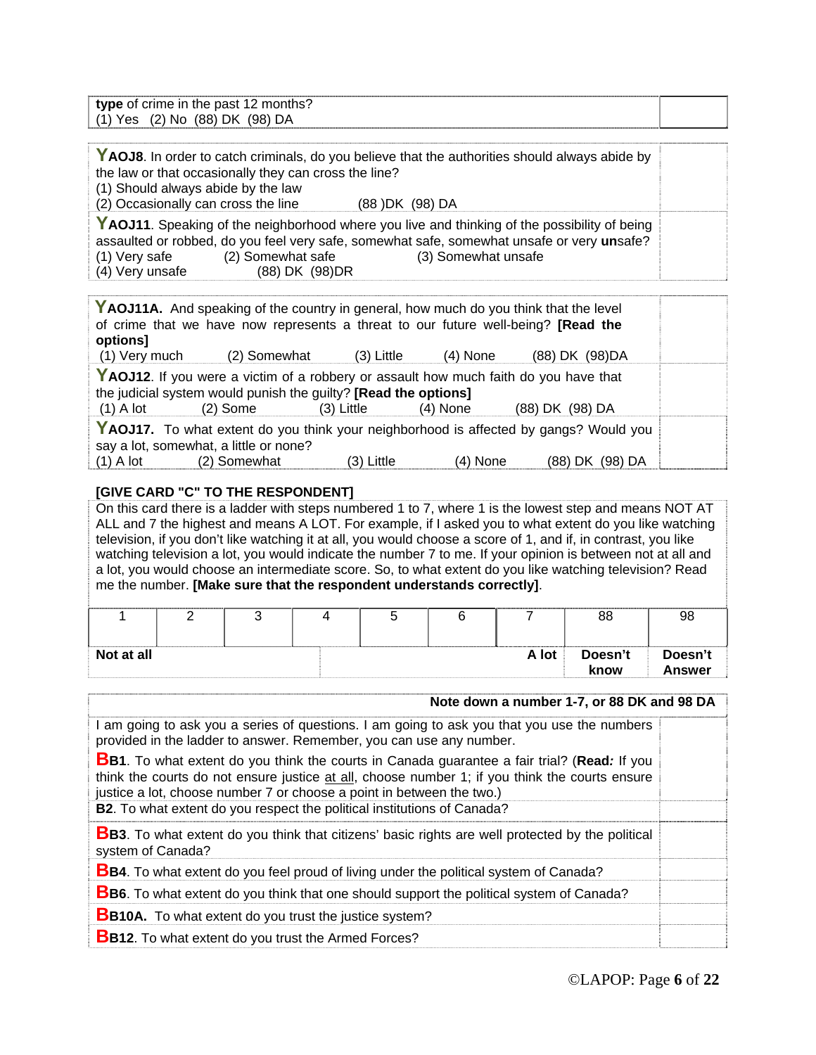| type of crime in the past 12 months? |  |
|--------------------------------------|--|
| (1) Yes (2) No (88) DK (98) DA       |  |

| YAOJ8. In order to catch criminals, do you believe that the authorities should always abide by |                   |                                                                                            |  |  |
|------------------------------------------------------------------------------------------------|-------------------|--------------------------------------------------------------------------------------------|--|--|
| the law or that occasionally they can cross the line?                                          |                   |                                                                                            |  |  |
| (1) Should always abide by the law                                                             |                   |                                                                                            |  |  |
| (2) Occasionally can cross the line                                                            |                   | (88) DK (98) DA                                                                            |  |  |
| YAOJ11. Speaking of the neighborhood where you live and thinking of the possibility of being   |                   |                                                                                            |  |  |
|                                                                                                |                   | assaulted or robbed, do you feel very safe, somewhat safe, somewhat unsafe or very unsafe? |  |  |
| (1) Very safe                                                                                  | (2) Somewhat safe | (3) Somewhat unsafe                                                                        |  |  |
| (4) Very unsafe                                                                                | (88) DK (98) DR   |                                                                                            |  |  |

| YAOJ11A. And speaking of the country in general, how much do you think that the level |                                                                                                                                                         |            |            |                 |  |  |  |
|---------------------------------------------------------------------------------------|---------------------------------------------------------------------------------------------------------------------------------------------------------|------------|------------|-----------------|--|--|--|
| of crime that we have now represents a threat to our future well-being? [Read the     |                                                                                                                                                         |            |            |                 |  |  |  |
| options]                                                                              |                                                                                                                                                         |            |            |                 |  |  |  |
| (1) Very much                                                                         | (2) Somewhat                                                                                                                                            | (3) Little | $(4)$ None | (88) DK (98) DA |  |  |  |
|                                                                                       | YAOJ12. If you were a victim of a robbery or assault how much faith do you have that<br>the judicial system would punish the guilty? [Read the options] |            |            |                 |  |  |  |
| $(1)$ A lot                                                                           | (2) Some                                                                                                                                                | (3) Little | $(4)$ None | (88) DK (98) DA |  |  |  |
| YAOJ17. To what extent do you think your neighborhood is affected by gangs? Would you |                                                                                                                                                         |            |            |                 |  |  |  |
| say a lot, somewhat, a little or none?                                                |                                                                                                                                                         |            |            |                 |  |  |  |
| $(1)$ A lot $(2)$ Somewhat                                                            |                                                                                                                                                         | (3) Little | $(4)$ None | (88) DK (98) DA |  |  |  |

#### **[GIVE CARD "C" TO THE RESPONDENT]**

On this card there is a ladder with steps numbered 1 to 7, where 1 is the lowest step and means NOT AT ALL and 7 the highest and means A LOT. For example, if I asked you to what extent do you like watching television, if you don't like watching it at all, you would choose a score of 1, and if, in contrast, you like watching television a lot, you would indicate the number 7 to me. If your opinion is between not at all and a lot, you would choose an intermediate score. So, to what extent do you like watching television? Read me the number. **[Make sure that the respondent understands correctly]**.

|            |  |  |       | 88              | 98                |
|------------|--|--|-------|-----------------|-------------------|
| Not at all |  |  | A lot | Doesn't<br>know | Doesn't<br>Answer |

|                                                                                                                                                                                                                                                                                | Note down a number 1-7, or 88 DK and 98 DA |
|--------------------------------------------------------------------------------------------------------------------------------------------------------------------------------------------------------------------------------------------------------------------------------|--------------------------------------------|
| I am going to ask you a series of questions. I am going to ask you that you use the numbers<br>provided in the ladder to answer. Remember, you can use any number.                                                                                                             |                                            |
| <b>BB1</b> . To what extent do you think the courts in Canada guarantee a fair trial? (Read: If you<br>think the courts do not ensure justice at all, choose number 1; if you think the courts ensure<br>justice a lot, choose number 7 or choose a point in between the two.) |                                            |
| <b>B2.</b> To what extent do you respect the political institutions of Canada?                                                                                                                                                                                                 |                                            |
| <b>BB3.</b> To what extent do you think that citizens' basic rights are well protected by the political<br>system of Canada?                                                                                                                                                   |                                            |
| <b>BB4</b> . To what extent do you feel proud of living under the political system of Canada?                                                                                                                                                                                  |                                            |
| <b>BB6.</b> To what extent do you think that one should support the political system of Canada?                                                                                                                                                                                |                                            |
| <b>BB10A.</b> To what extent do you trust the justice system?                                                                                                                                                                                                                  |                                            |
| <b>BB12.</b> To what extent do you trust the Armed Forces?                                                                                                                                                                                                                     |                                            |
|                                                                                                                                                                                                                                                                                |                                            |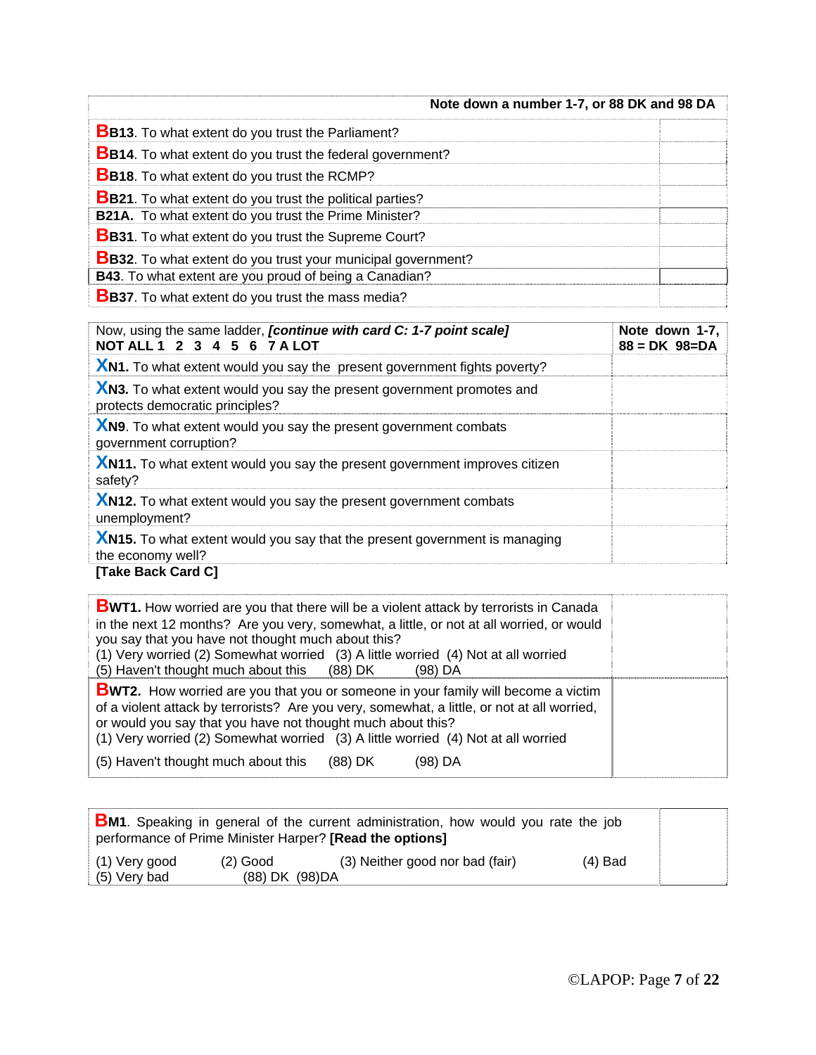| Note down a number 1-7, or 88 DK and 98 DA                          |  |
|---------------------------------------------------------------------|--|
| <b>BB13.</b> To what extent do you trust the Parliament?            |  |
| <b>BB14.</b> To what extent do you trust the federal government?    |  |
| <b>BB18.</b> To what extent do you trust the RCMP?                  |  |
| <b>BB21.</b> To what extent do you trust the political parties?     |  |
| <b>B21A.</b> To what extent do you trust the Prime Minister?        |  |
| <b>BB31.</b> To what extent do you trust the Supreme Court?         |  |
| <b>BB32.</b> To what extent do you trust your municipal government? |  |
| B43. To what extent are you proud of being a Canadian?              |  |
| <b>BB37</b> . To what extent do you trust the mass media?           |  |

| Now, using the same ladder, <i>[continue with card C: 1-7 point scale]</i><br>NOT ALL 1 2 3 4 5 6 7 A LOT | Note down 1-7,<br>$88 = DK \ 98 = DA$ |
|-----------------------------------------------------------------------------------------------------------|---------------------------------------|
| <b>XN1.</b> To what extent would you say the present government fights poverty?                           |                                       |
| XN3. To what extent would you say the present government promotes and<br>protects democratic principles?  |                                       |
| XN9. To what extent would you say the present government combats<br>government corruption?                |                                       |
| XN11. To what extent would you say the present government improves citizen<br>safety?                     |                                       |
| XN12. To what extent would you say the present government combats<br>unemployment?                        |                                       |
| XN15. To what extent would you say that the present government is managing<br>the economy well?           |                                       |
| [Take Back Card C]                                                                                        |                                       |

| <b>BWT1.</b> How worried are you that there will be a violent attack by terrorists in Canada<br>in the next 12 months? Are you very, somewhat, a little, or not at all worried, or would<br>you say that you have not thought much about this?<br>(1) Very worried (2) Somewhat worried (3) A little worried (4) Not at all worried<br>(5) Haven't thought much about this (88) DK<br>(98) DA |  |
|-----------------------------------------------------------------------------------------------------------------------------------------------------------------------------------------------------------------------------------------------------------------------------------------------------------------------------------------------------------------------------------------------|--|
| <b>BWT2.</b> How worried are you that you or someone in your family will become a victim<br>of a violent attack by terrorists? Are you very, somewhat, a little, or not at all worried,<br>or would you say that you have not thought much about this?<br>(1) Very worried (2) Somewhat worried (3) A little worried (4) Not at all worried                                                   |  |
| (5) Haven't thought much about this (88) DK<br>(98) DA                                                                                                                                                                                                                                                                                                                                        |  |

|                               |                               | <b>BM1</b> . Speaking in general of the current administration, how would you rate the job<br>performance of Prime Minister Harper? [Read the options] |           |  |
|-------------------------------|-------------------------------|--------------------------------------------------------------------------------------------------------------------------------------------------------|-----------|--|
| (1) Very good<br>(5) Very bad | $(2)$ Good<br>(88) DK (98) DA | (3) Neither good nor bad (fair)                                                                                                                        | $(4)$ Bad |  |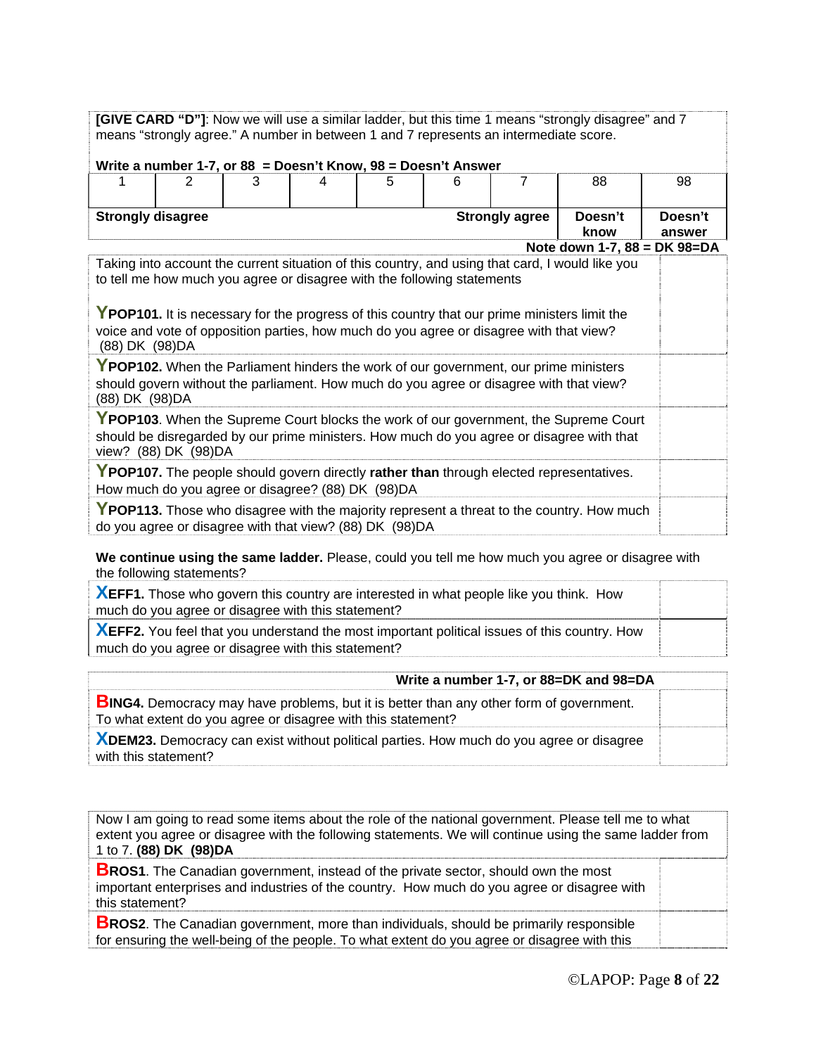**[GIVE CARD "D"]**: Now we will use a similar ladder, but this time 1 means "strongly disagree" and 7 means "strongly agree." A number in between 1 and 7 represents an intermediate score.

|                                                                                                                                              | Write a number 1-7, or $88 = Desn't Know, 98 = Doesn't Answer$ |                                                                                                                                                                    |   |   |   |                       |                                                                                                                                                                                                                                  |         |
|----------------------------------------------------------------------------------------------------------------------------------------------|----------------------------------------------------------------|--------------------------------------------------------------------------------------------------------------------------------------------------------------------|---|---|---|-----------------------|----------------------------------------------------------------------------------------------------------------------------------------------------------------------------------------------------------------------------------|---------|
|                                                                                                                                              | 2                                                              | 3                                                                                                                                                                  | 4 | 5 | 6 | 7                     | 88                                                                                                                                                                                                                               | 98      |
|                                                                                                                                              |                                                                |                                                                                                                                                                    |   |   |   |                       |                                                                                                                                                                                                                                  |         |
| <b>Strongly disagree</b>                                                                                                                     |                                                                |                                                                                                                                                                    |   |   |   | <b>Strongly agree</b> | Doesn't                                                                                                                                                                                                                          | Doesn't |
|                                                                                                                                              |                                                                |                                                                                                                                                                    |   |   |   |                       | know                                                                                                                                                                                                                             | answer  |
| (88) DK (98) DA                                                                                                                              |                                                                | to tell me how much you agree or disagree with the following statements<br>voice and vote of opposition parties, how much do you agree or disagree with that view? |   |   |   |                       | Note down 1-7, 88 = DK 98=DA<br>Taking into account the current situation of this country, and using that card, I would like you<br>YPOP101. It is necessary for the progress of this country that our prime ministers limit the |         |
| (88) DK (98) DA                                                                                                                              |                                                                |                                                                                                                                                                    |   |   |   |                       | YPOP102. When the Parliament hinders the work of our government, our prime ministers<br>should govern without the parliament. How much do you agree or disagree with that view?                                                  |         |
|                                                                                                                                              | view? (88) DK (98) DA                                          |                                                                                                                                                                    |   |   |   |                       | YPOP103. When the Supreme Court blocks the work of our government, the Supreme Court<br>should be disregarded by our prime ministers. How much do you agree or disagree with that                                                |         |
| YPOP107. The people should govern directly rather than through elected representatives.<br>How much do you agree or disagree? (88) DK (98)DA |                                                                |                                                                                                                                                                    |   |   |   |                       |                                                                                                                                                                                                                                  |         |
|                                                                                                                                              |                                                                | do you agree or disagree with that view? (88) DK (98) DA                                                                                                           |   |   |   |                       | YPOP113. Those who disagree with the majority represent a threat to the country. How much                                                                                                                                        |         |

**We continue using the same ladder.** Please, could you tell me how much you agree or disagree with the following statements?

**XEFF1.** Those who govern this country are interested in what people like you think. How much do you agree or disagree with this statement?

**XEFF2.** You feel that you understand the most important political issues of this country. How much do you agree or disagree with this statement?

| Write a number 1-7, or 88=DK and 98=DA                                                                                                                         |  |
|----------------------------------------------------------------------------------------------------------------------------------------------------------------|--|
| <b>BING4.</b> Democracy may have problems, but it is better than any other form of government.<br>To what extent do you agree or disagree with this statement? |  |
| XDEM23. Democracy can exist without political parties. How much do you agree or disagree<br>with this statement?                                               |  |
|                                                                                                                                                                |  |

Now I am going to read some items about the role of the national government. Please tell me to what extent you agree or disagree with the following statements. We will continue using the same ladder from 1 to 7. **(88) DK (98)DA**

**BROS1**. The Canadian government, instead of the private sector, should own the most important enterprises and industries of the country. How much do you agree or disagree with this statement?

**BROS2**. The Canadian government, more than individuals, should be primarily responsible for ensuring the well-being of the people. To what extent do you agree or disagree with this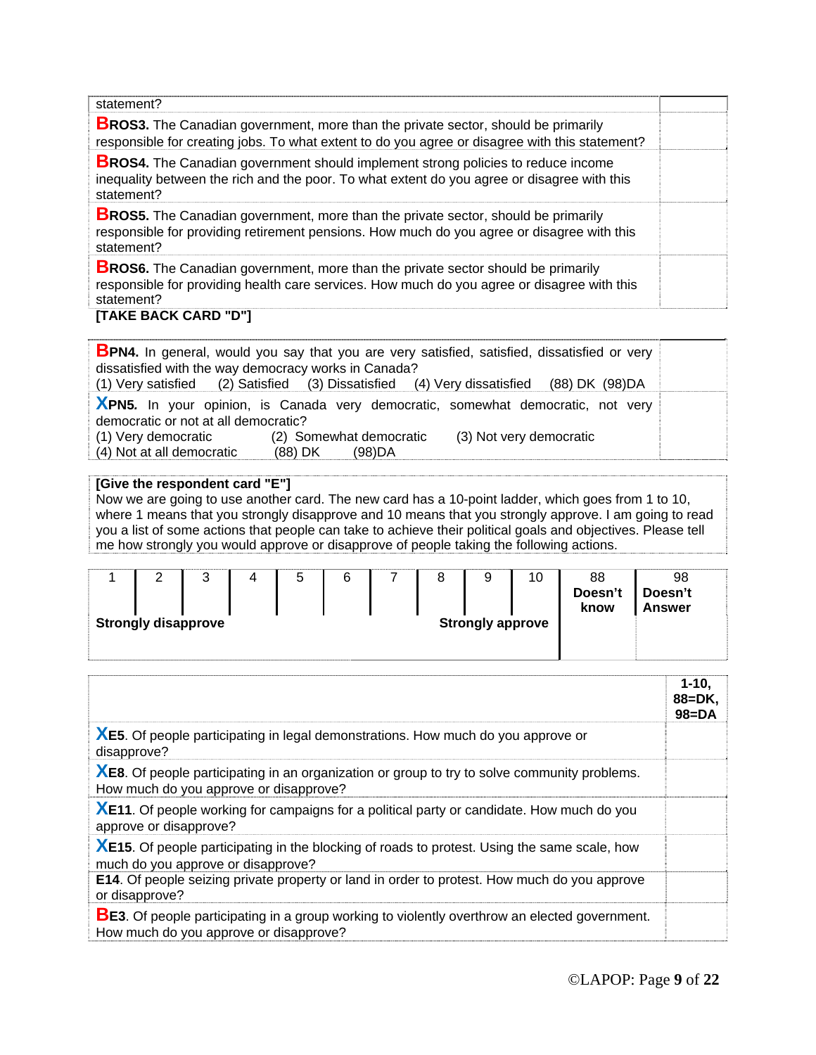| statement?                                                                                                                                                                                           |  |
|------------------------------------------------------------------------------------------------------------------------------------------------------------------------------------------------------|--|
| <b>BROS3.</b> The Canadian government, more than the private sector, should be primarily<br>responsible for creating jobs. To what extent to do you agree or disagree with this statement?           |  |
| <b>BROS4.</b> The Canadian government should implement strong policies to reduce income<br>inequality between the rich and the poor. To what extent do you agree or disagree with this<br>statement? |  |
| <b>BROS5.</b> The Canadian government, more than the private sector, should be primarily<br>responsible for providing retirement pensions. How much do you agree or disagree with this<br>statement? |  |
| <b>BROS6.</b> The Canadian government, more than the private sector should be primarily<br>responsible for providing health care services. How much do you agree or disagree with this<br>statement? |  |

#### **[TAKE BACK CARD "D"]**

|                                                                                                                         | <b>BPN4.</b> In general, would you say that you are very satisfied, satisfied, dissatisfied or very |  |  |  |  |
|-------------------------------------------------------------------------------------------------------------------------|-----------------------------------------------------------------------------------------------------|--|--|--|--|
| dissatisfied with the way democracy works in Canada?                                                                    |                                                                                                     |  |  |  |  |
|                                                                                                                         | (1) Very satisfied (2) Satisfied (3) Dissatisfied (4) Very dissatisfied (88) DK (98) DA             |  |  |  |  |
| XPN5. In your opinion, is Canada very democratic, somewhat democratic, not very<br>democratic or not at all democratic? |                                                                                                     |  |  |  |  |
| (1) Very democratic (2) Somewhat democratic<br>(4) Not at all democratic                                                | (3) Not very democratic<br>(88) DK (98) DA                                                          |  |  |  |  |

#### **[Give the respondent card "E"]**

Now we are going to use another card. The new card has a 10-point ladder, which goes from 1 to 10, where 1 means that you strongly disapprove and 10 means that you strongly approve. I am going to read you a list of some actions that people can take to achieve their political goals and objectives. Please tell me how strongly you would approve or disapprove of people taking the following actions.

|                                                       |  | ີ |  | ∽<br>ັ | 6 |  |  | u<br>◡ | 10 | 88<br>Doesn't<br>know | 98<br>Doesn't<br><b>Answer</b> |  |
|-------------------------------------------------------|--|---|--|--------|---|--|--|--------|----|-----------------------|--------------------------------|--|
| <b>Strongly disapprove</b><br><b>Strongly approve</b> |  |   |  |        |   |  |  |        |    |                       |                                |  |

|                                                                                                                                                 | $1 - 10$<br>$88 = DK.$<br>$98 = DA$ |
|-------------------------------------------------------------------------------------------------------------------------------------------------|-------------------------------------|
| <b>XE5.</b> Of people participating in legal demonstrations. How much do you approve or<br>disapprove?                                          |                                     |
| <b>XE8.</b> Of people participating in an organization or group to try to solve community problems.<br>How much do you approve or disapprove?   |                                     |
| XE11. Of people working for campaigns for a political party or candidate. How much do you<br>approve or disapprove?                             |                                     |
| XE15. Of people participating in the blocking of roads to protest. Using the same scale, how<br>much do you approve or disapprove?              |                                     |
| E14. Of people seizing private property or land in order to protest. How much do you approve<br>or disapprove?                                  |                                     |
| <b>BE3</b> . Of people participating in a group working to violently overthrow an elected government.<br>How much do you approve or disapprove? |                                     |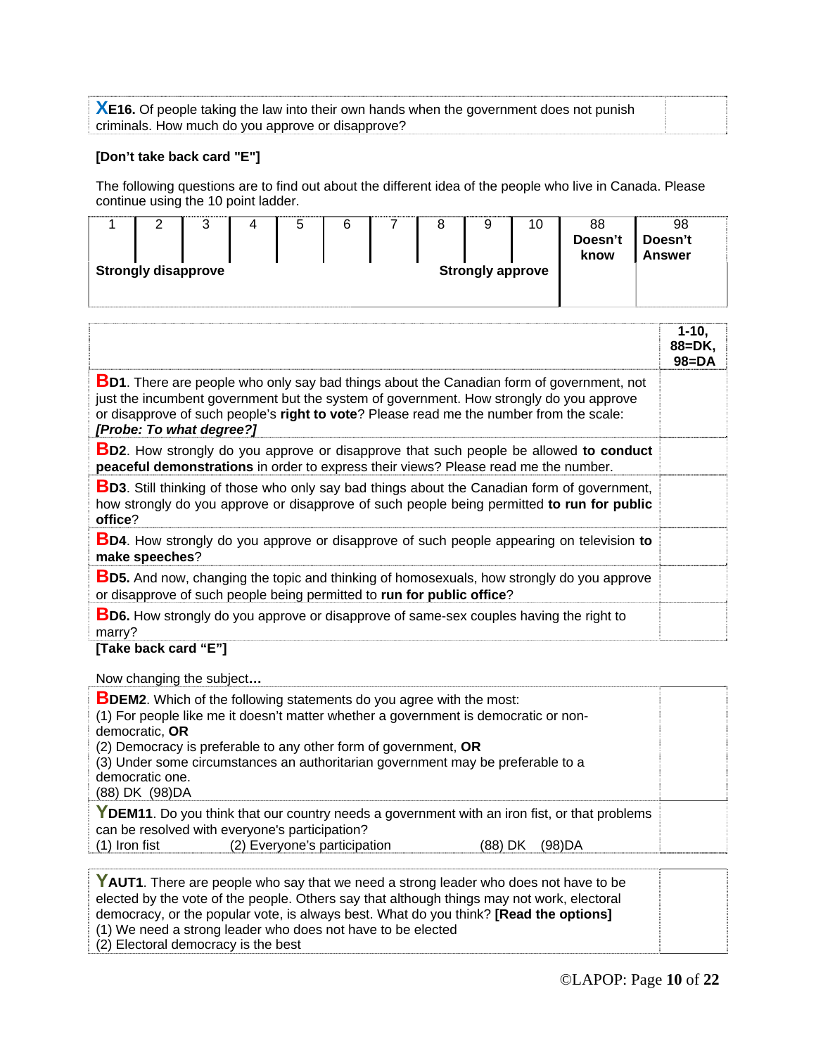**XE16.** Of people taking the law into their own hands when the government does not punish criminals. How much do you approve or disapprove?

#### **[Don't take back card "E"]**

The following questions are to find out about the different idea of the people who live in Canada. Please continue using the 10 point ladder.

|                            | ⌒<br>ື | 5 | 6 |  | ີ                       | 10 | 88<br>Doesn't<br>know | 98<br>Doesn't<br><b>Answer</b> |  |
|----------------------------|--------|---|---|--|-------------------------|----|-----------------------|--------------------------------|--|
| <b>Strongly disapprove</b> |        |   |   |  | <b>Strongly approve</b> |    |                       |                                |  |

|                                                                                                                                                                                                                                                                                                                    | $1-10,$<br>88=DK,<br>$98 = DA$ |
|--------------------------------------------------------------------------------------------------------------------------------------------------------------------------------------------------------------------------------------------------------------------------------------------------------------------|--------------------------------|
| <b>BD1</b> . There are people who only say bad things about the Canadian form of government, not<br>just the incumbent government but the system of government. How strongly do you approve<br>or disapprove of such people's right to vote? Please read me the number from the scale:<br>[Probe: To what degree?] |                                |
| <b>BD2.</b> How strongly do you approve or disapprove that such people be allowed to conduct<br>peaceful demonstrations in order to express their views? Please read me the number.                                                                                                                                |                                |
| <b>BD3.</b> Still thinking of those who only say bad things about the Canadian form of government,<br>how strongly do you approve or disapprove of such people being permitted to run for public<br>office?                                                                                                        |                                |
| <b>BD4.</b> How strongly do you approve or disapprove of such people appearing on television to<br>make speeches?                                                                                                                                                                                                  |                                |
| <b>BD5.</b> And now, changing the topic and thinking of homosexuals, how strongly do you approve<br>or disapprove of such people being permitted to run for public office?                                                                                                                                         |                                |
| <b>BD6.</b> How strongly do you approve or disapprove of same-sex couples having the right to<br>marry?<br>[Tales beat] agod ((F)]]                                                                                                                                                                                |                                |

**[Take back card "E"]** 

Now changing the subject**…** 

| <b>BDEM2.</b> Which of the following statements do you agree with the most:                  |  |  |  |  |  |
|----------------------------------------------------------------------------------------------|--|--|--|--|--|
| (1) For people like me it doesn't matter whether a government is democratic or non-          |  |  |  |  |  |
| democratic, OR                                                                               |  |  |  |  |  |
| (2) Democracy is preferable to any other form of government, OR                              |  |  |  |  |  |
| (3) Under some circumstances an authoritarian government may be preferable to a              |  |  |  |  |  |
| democratic one.                                                                              |  |  |  |  |  |
| (88) DK (98) DA                                                                              |  |  |  |  |  |
| YDEM11. Do you think that our country needs a government with an iron fist, or that problems |  |  |  |  |  |
| can be resolved with everyone's participation?                                               |  |  |  |  |  |
| (2) Everyone's participation<br>$(1)$ Iron fist<br>(98)DA<br>(88) DK                         |  |  |  |  |  |
|                                                                                              |  |  |  |  |  |

YAUT1. There are people who say that we need a strong leader who does not have to be elected by the vote of the people. Others say that although things may not work, electoral democracy, or the popular vote, is always best. What do you think? **[Read the options]** (1) We need a strong leader who does not have to be elected (2) Electoral democracy is the best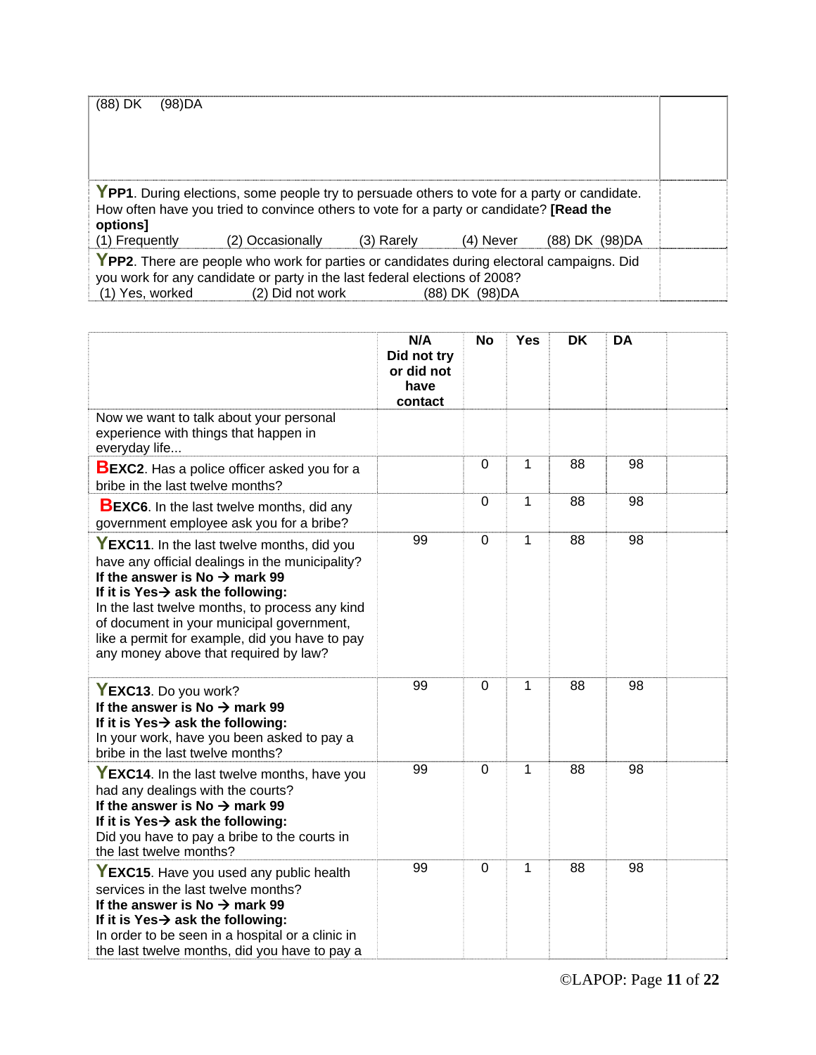| (88) DK<br>(98)DA                                                                                                                                                                                                                                                                                                     |                                                                                                                                                                                         |  |  |  |  |
|-----------------------------------------------------------------------------------------------------------------------------------------------------------------------------------------------------------------------------------------------------------------------------------------------------------------------|-----------------------------------------------------------------------------------------------------------------------------------------------------------------------------------------|--|--|--|--|
| options]                                                                                                                                                                                                                                                                                                              | YPP1. During elections, some people try to persuade others to vote for a party or candidate.<br>How often have you tried to convince others to vote for a party or candidate? [Read the |  |  |  |  |
|                                                                                                                                                                                                                                                                                                                       |                                                                                                                                                                                         |  |  |  |  |
| (2) Occasionally<br>(1) Frequently<br>(3) Rarely<br>(4) Never<br>(88) DK (98) DA<br>YPP2. There are people who work for parties or candidates during electoral campaigns. Did<br>you work for any candidate or party in the last federal elections of 2008?<br>(1) Yes, worked<br>(2) Did not work<br>(88) DK (98) DA |                                                                                                                                                                                         |  |  |  |  |

|                                                                                                                                                                                                                                                                                                                                                                                       | N/A<br>Did not try<br>or did not<br>have<br>contact | <b>No</b>      | <b>Yes</b>   | <b>DK</b> | DA |  |
|---------------------------------------------------------------------------------------------------------------------------------------------------------------------------------------------------------------------------------------------------------------------------------------------------------------------------------------------------------------------------------------|-----------------------------------------------------|----------------|--------------|-----------|----|--|
| Now we want to talk about your personal<br>experience with things that happen in<br>everyday life                                                                                                                                                                                                                                                                                     |                                                     |                |              |           |    |  |
| <b>BEXC2</b> . Has a police officer asked you for a<br>bribe in the last twelve months?                                                                                                                                                                                                                                                                                               |                                                     | $\mathbf 0$    | 1            | 88        | 98 |  |
| <b>BEXC6.</b> In the last twelve months, did any<br>government employee ask you for a bribe?                                                                                                                                                                                                                                                                                          |                                                     | $\overline{0}$ | 1            | 88        | 98 |  |
| YEXC11. In the last twelve months, did you<br>have any official dealings in the municipality?<br>If the answer is No $\rightarrow$ mark 99<br>If it is Yes $\rightarrow$ ask the following:<br>In the last twelve months, to process any kind<br>of document in your municipal government,<br>like a permit for example, did you have to pay<br>any money above that required by law? | 99                                                  | $\mathbf 0$    | $\mathbf{1}$ | 88        | 98 |  |
| YEXC13. Do you work?<br>If the answer is No $\rightarrow$ mark 99<br>If it is Yes $\rightarrow$ ask the following:<br>In your work, have you been asked to pay a<br>bribe in the last twelve months?                                                                                                                                                                                  | 99                                                  | $\mathbf 0$    | $\mathbf 1$  | 88        | 98 |  |
| YEXC14. In the last twelve months, have you<br>had any dealings with the courts?<br>If the answer is No $\rightarrow$ mark 99<br>If it is Yes $\rightarrow$ ask the following:<br>Did you have to pay a bribe to the courts in<br>the last twelve months?                                                                                                                             | 99                                                  | $\overline{0}$ | $\mathbf{1}$ | 88        | 98 |  |
| YEXC15. Have you used any public health<br>services in the last twelve months?<br>If the answer is No $\rightarrow$ mark 99<br>If it is Yes $\rightarrow$ ask the following:<br>In order to be seen in a hospital or a clinic in<br>the last twelve months, did you have to pay a                                                                                                     | 99                                                  | 0              | 1            | 88        | 98 |  |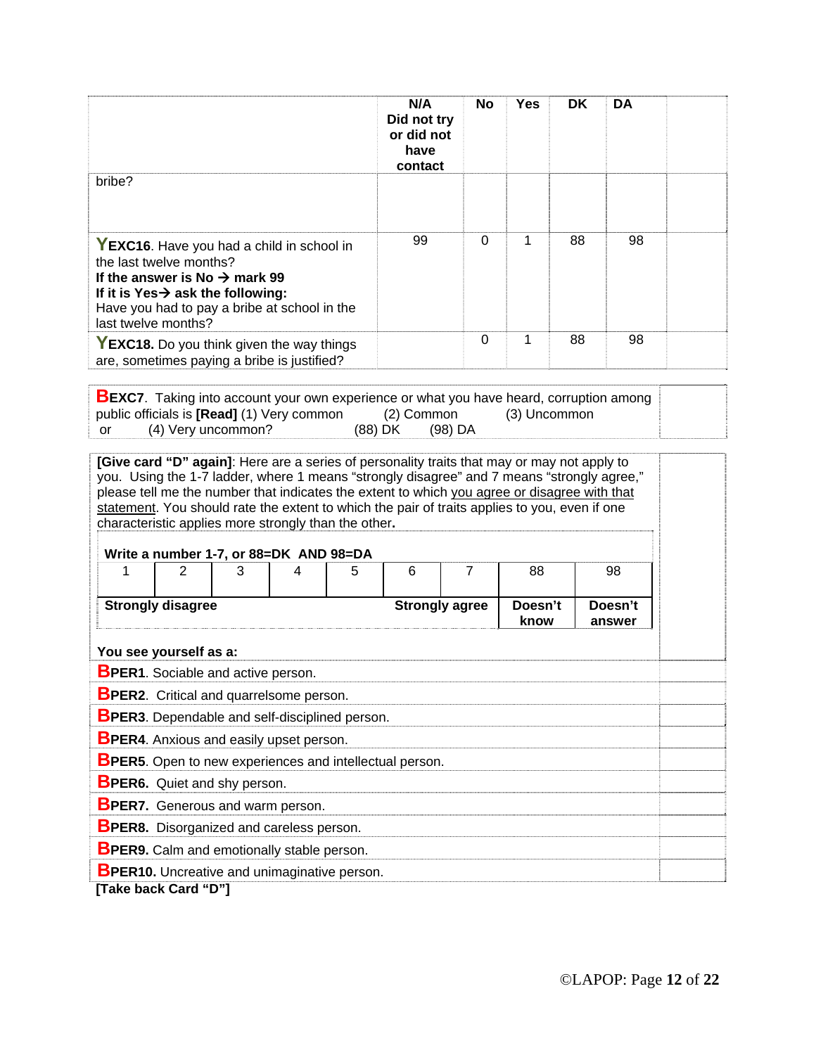|                                                        |                                                                                                                                                                                                                                           |   |                                        |   | N/A<br>Did not try<br>or did not<br>have<br>contact                                                                                                                                                                                                                                         | No             | <b>Yes</b>      | DK | DA                |  |
|--------------------------------------------------------|-------------------------------------------------------------------------------------------------------------------------------------------------------------------------------------------------------------------------------------------|---|----------------------------------------|---|---------------------------------------------------------------------------------------------------------------------------------------------------------------------------------------------------------------------------------------------------------------------------------------------|----------------|-----------------|----|-------------------|--|
| bribe?                                                 |                                                                                                                                                                                                                                           |   |                                        |   |                                                                                                                                                                                                                                                                                             |                |                 |    |                   |  |
|                                                        | YEXC16. Have you had a child in school in<br>the last twelve months?<br>If the answer is No $\rightarrow$ mark 99<br>If it is Yes $\rightarrow$ ask the following:<br>Have you had to pay a bribe at school in the<br>last twelve months? |   |                                        |   | 99                                                                                                                                                                                                                                                                                          | $\Omega$       | 1               | 88 | 98                |  |
|                                                        | YEXC18. Do you think given the way things<br>are, sometimes paying a bribe is justified?                                                                                                                                                  |   |                                        |   |                                                                                                                                                                                                                                                                                             | $\mathbf 0$    | 1               | 88 | 98                |  |
| characteristic applies more strongly than the other.   |                                                                                                                                                                                                                                           |   | Write a number 1-7, or 88=DK AND 98=DA |   | you. Using the 1-7 ladder, where 1 means "strongly disagree" and 7 means "strongly agree,"<br>please tell me the number that indicates the extent to which you agree or disagree with that<br>statement. You should rate the extent to which the pair of traits applies to you, even if one |                |                 |    |                   |  |
| 1                                                      | $\overline{2}$                                                                                                                                                                                                                            | 3 | 4                                      | 5 | 6                                                                                                                                                                                                                                                                                           | $\overline{7}$ | 88              |    | 98                |  |
|                                                        | <b>Strongly disagree</b>                                                                                                                                                                                                                  |   |                                        |   | <b>Strongly agree</b>                                                                                                                                                                                                                                                                       |                | Doesn't<br>know |    | Doesn't<br>answer |  |
| You see yourself as a:                                 |                                                                                                                                                                                                                                           |   |                                        |   |                                                                                                                                                                                                                                                                                             |                |                 |    |                   |  |
| <b>BPER1.</b> Sociable and active person.              |                                                                                                                                                                                                                                           |   |                                        |   |                                                                                                                                                                                                                                                                                             |                |                 |    |                   |  |
| <b>BPER2.</b> Critical and quarrelsome person.         |                                                                                                                                                                                                                                           |   |                                        |   |                                                                                                                                                                                                                                                                                             |                |                 |    |                   |  |
| <b>BPER3</b> . Dependable and self-disciplined person. |                                                                                                                                                                                                                                           |   |                                        |   |                                                                                                                                                                                                                                                                                             |                |                 |    |                   |  |
| <b>BPER4.</b> Anxious and easily upset person.         |                                                                                                                                                                                                                                           |   |                                        |   |                                                                                                                                                                                                                                                                                             |                |                 |    |                   |  |
|                                                        |                                                                                                                                                                                                                                           |   |                                        |   | <b>BPER5.</b> Open to new experiences and intellectual person.                                                                                                                                                                                                                              |                |                 |    |                   |  |
| <b>BPER6.</b> Quiet and shy person.                    |                                                                                                                                                                                                                                           |   |                                        |   |                                                                                                                                                                                                                                                                                             |                |                 |    |                   |  |
| <b>BPER7.</b> Generous and warm person.                |                                                                                                                                                                                                                                           |   |                                        |   |                                                                                                                                                                                                                                                                                             |                |                 |    |                   |  |
| <b>BPER8.</b> Disorganized and careless person.        |                                                                                                                                                                                                                                           |   |                                        |   |                                                                                                                                                                                                                                                                                             |                |                 |    |                   |  |
| <b>BPER9.</b> Calm and emotionally stable person.      |                                                                                                                                                                                                                                           |   |                                        |   |                                                                                                                                                                                                                                                                                             |                |                 |    |                   |  |
| <b>BPER10.</b> Uncreative and unimaginative person.    | [Take back Card "D"]                                                                                                                                                                                                                      |   |                                        |   |                                                                                                                                                                                                                                                                                             |                |                 |    |                   |  |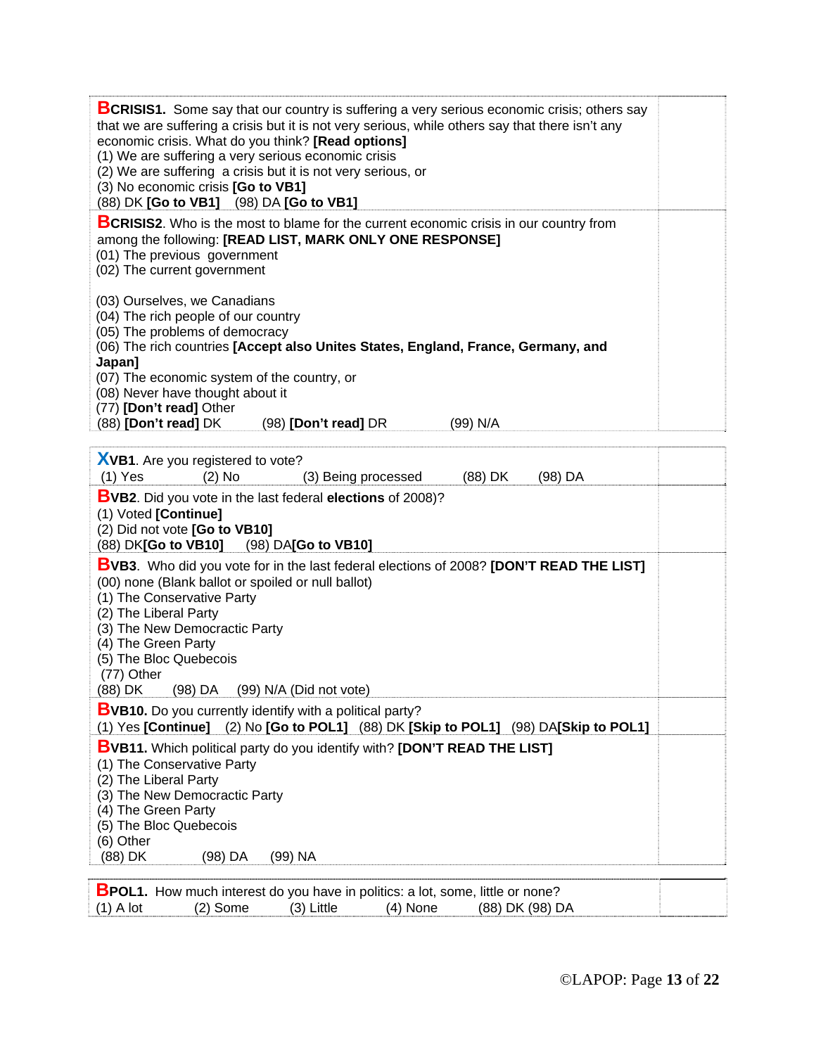| <b>BCRISIS1.</b> Some say that our country is suffering a very serious economic crisis; others say<br>that we are suffering a crisis but it is not very serious, while others say that there isn't any<br>economic crisis. What do you think? [Read options]<br>(1) We are suffering a very serious economic crisis<br>(2) We are suffering a crisis but it is not very serious, or<br>(3) No economic crisis [Go to VB1]<br>(88) DK [Go to VB1] (98) DA [Go to VB1] |  |
|----------------------------------------------------------------------------------------------------------------------------------------------------------------------------------------------------------------------------------------------------------------------------------------------------------------------------------------------------------------------------------------------------------------------------------------------------------------------|--|
| <b>BCRISIS2.</b> Who is the most to blame for the current economic crisis in our country from<br>among the following: [READ LIST, MARK ONLY ONE RESPONSE]<br>(01) The previous government<br>(02) The current government                                                                                                                                                                                                                                             |  |
| (03) Ourselves, we Canadians<br>(04) The rich people of our country<br>(05) The problems of democracy<br>(06) The rich countries [Accept also Unites States, England, France, Germany, and<br>Japan]<br>(07) The economic system of the country, or<br>(08) Never have thought about it<br>(77) [Don't read] Other<br>(88) [Don't read] DK<br>(98) [Don't read] DR<br>(99) N/A                                                                                       |  |
|                                                                                                                                                                                                                                                                                                                                                                                                                                                                      |  |
| XVB1. Are you registered to vote?<br>$(1)$ Yes<br>$(2)$ No<br>(88) DK<br>(3) Being processed<br>(98) DA                                                                                                                                                                                                                                                                                                                                                              |  |
| <b>BVB2.</b> Did you vote in the last federal elections of 2008)?<br>(1) Voted [Continue]<br>(2) Did not vote [Go to VB10]<br>(88) DK[Go to VB10]<br>(98) DA[Go to VB10]                                                                                                                                                                                                                                                                                             |  |
| <b>BVB3.</b> Who did you vote for in the last federal elections of 2008? [DON'T READ THE LIST]<br>(00) none (Blank ballot or spoiled or null ballot)<br>(1) The Conservative Party<br>(2) The Liberal Party<br>(3) The New Democractic Party<br>(4) The Green Party<br>(5) The Bloc Quebecois<br>(77) Other<br>(88) DK<br>(98) DA (99) N/A (Did not vote)                                                                                                            |  |
| <b>BVB10.</b> Do you currently identify with a political party?                                                                                                                                                                                                                                                                                                                                                                                                      |  |
| (1) Yes [Continue] (2) No [Go to POL1] (88) DK [Skip to POL1] (98) DA[Skip to POL1]<br><b>BVB11.</b> Which political party do you identify with? [DON'T READ THE LIST]<br>(1) The Conservative Party<br>(2) The Liberal Party<br>(3) The New Democractic Party<br>(4) The Green Party<br>(5) The Bloc Quebecois<br>(6) Other<br>(88) DK<br>(98) DA<br>(99) NA                                                                                                        |  |
| <b>BPOL1.</b> How much interest do you have in politics: a lot, some, little or none?<br>$(1)$ A lot<br>$(2)$ Some<br>(3) Little<br>(4) None<br>(88) DK (98) DA                                                                                                                                                                                                                                                                                                      |  |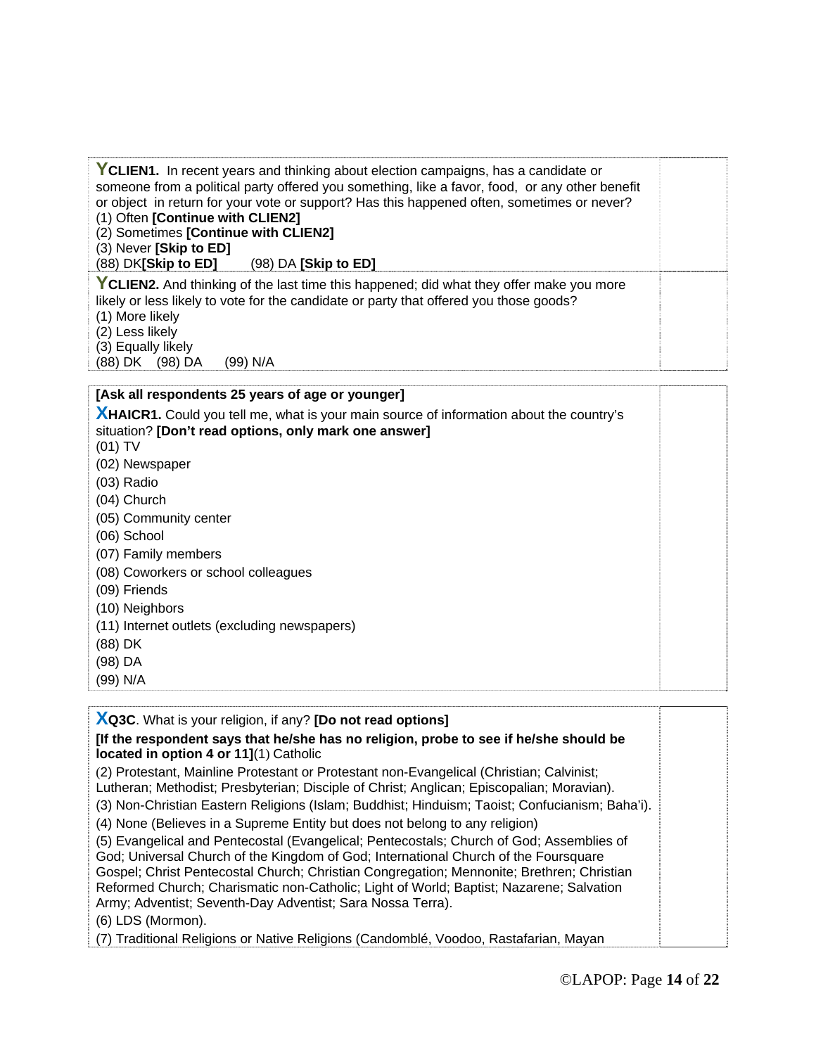| YCLIEN1. In recent years and thinking about election campaigns, has a candidate or<br>someone from a political party offered you something, like a favor, food, or any other benefit<br>or object in return for your vote or support? Has this happened often, sometimes or never?<br>(1) Often [Continue with CLIEN2]<br>(2) Sometimes [Continue with CLIEN2]<br>(3) Never [Skip to ED]<br>(88) DK[Skip to ED] (98) DA [Skip to ED] |  |
|--------------------------------------------------------------------------------------------------------------------------------------------------------------------------------------------------------------------------------------------------------------------------------------------------------------------------------------------------------------------------------------------------------------------------------------|--|
| YCLIEN2. And thinking of the last time this happened; did what they offer make you more<br>likely or less likely to vote for the candidate or party that offered you those goods?<br>(1) More likely<br>(2) Less likely<br>(3) Equally likely<br>(88) DK (98) DA<br>(99) N/A                                                                                                                                                         |  |

#### **[Ask all respondents 25 years of age or younger]**

**XHAICR1.** Could you tell me, what is your main source of information about the country's situation? **[Don't read options, only mark one answer]**

(01) TV

- (02) Newspaper
- (03) Radio
- (04) Church
- (05) Community center
- (06) School
- (07) Family members
- (08) Coworkers or school colleagues
- (09) Friends
- (10) Neighbors
- (11) Internet outlets (excluding newspapers)

(88) DK

- (98) DA
- (99) N/A

**XQ3C**. What is your religion, if any? **[Do not read options]**

**[If the respondent says that he/she has no religion, probe to see if he/she should be located in option 4 or 11]**(1) Catholic

(2) Protestant, Mainline Protestant or Protestant non-Evangelical (Christian; Calvinist; Lutheran; Methodist; Presbyterian; Disciple of Christ; Anglican; Episcopalian; Moravian).

(3) Non-Christian Eastern Religions (Islam; Buddhist; Hinduism; Taoist; Confucianism; Baha'i).

(4) None (Believes in a Supreme Entity but does not belong to any religion)

(5) Evangelical and Pentecostal (Evangelical; Pentecostals; Church of God; Assemblies of God; Universal Church of the Kingdom of God; International Church of the Foursquare Gospel; Christ Pentecostal Church; Christian Congregation; Mennonite; Brethren; Christian Reformed Church; Charismatic non-Catholic; Light of World; Baptist; Nazarene; Salvation Army; Adventist; Seventh-Day Adventist; Sara Nossa Terra).

(6) LDS (Mormon).

(7) Traditional Religions or Native Religions (Candomblé, Voodoo, Rastafarian, Mayan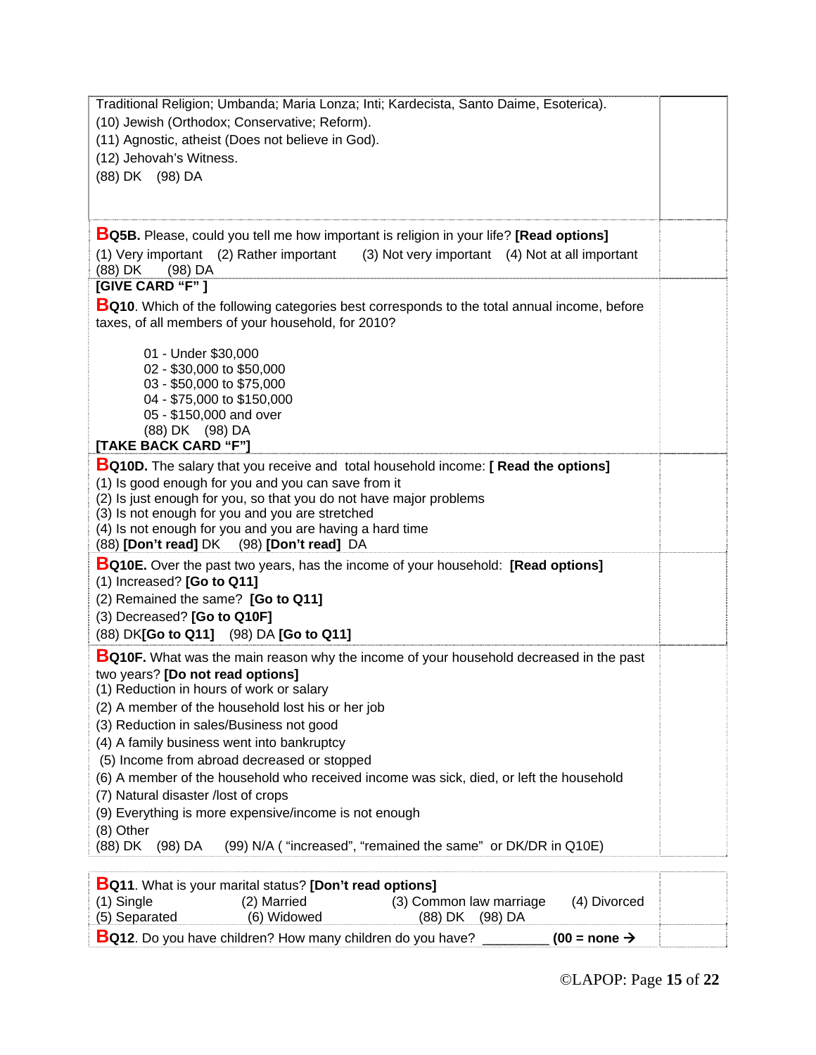| Traditional Religion; Umbanda; Maria Lonza; Inti; Kardecista, Santo Daime, Esoterica).                                                                   |  |  |  |  |  |
|----------------------------------------------------------------------------------------------------------------------------------------------------------|--|--|--|--|--|
| (10) Jewish (Orthodox; Conservative; Reform).                                                                                                            |  |  |  |  |  |
| (11) Agnostic, atheist (Does not believe in God).                                                                                                        |  |  |  |  |  |
| (12) Jehovah's Witness.                                                                                                                                  |  |  |  |  |  |
| (88) DK (98) DA                                                                                                                                          |  |  |  |  |  |
|                                                                                                                                                          |  |  |  |  |  |
| <b>BQ5B.</b> Please, could you tell me how important is religion in your life? [Read options]                                                            |  |  |  |  |  |
| (1) Very important (2) Rather important<br>(3) Not very important (4) Not at all important<br>(88) DK<br>$(98)$ DA                                       |  |  |  |  |  |
| [GIVE CARD "F"]                                                                                                                                          |  |  |  |  |  |
| <b>BQ10.</b> Which of the following categories best corresponds to the total annual income, before<br>taxes, of all members of your household, for 2010? |  |  |  |  |  |
|                                                                                                                                                          |  |  |  |  |  |
| 01 - Under \$30,000                                                                                                                                      |  |  |  |  |  |
| 02 - \$30,000 to \$50,000<br>03 - \$50,000 to \$75,000                                                                                                   |  |  |  |  |  |
| 04 - \$75,000 to \$150,000                                                                                                                               |  |  |  |  |  |
| 05 - \$150,000 and over                                                                                                                                  |  |  |  |  |  |
| (88) DK (98) DA<br>[TAKE BACK CARD "F"]                                                                                                                  |  |  |  |  |  |
| <b>BQ10D.</b> The salary that you receive and total household income: [ Read the options]                                                                |  |  |  |  |  |
| (1) Is good enough for you and you can save from it                                                                                                      |  |  |  |  |  |
| (2) Is just enough for you, so that you do not have major problems                                                                                       |  |  |  |  |  |
| (3) Is not enough for you and you are stretched                                                                                                          |  |  |  |  |  |
| (4) Is not enough for you and you are having a hard time<br>(88) [Don't read] DK (98) [Don't read] DA                                                    |  |  |  |  |  |
| <b>BQ10E.</b> Over the past two years, has the income of your household: <b>[Read options]</b>                                                           |  |  |  |  |  |
| (1) Increased? [Go to Q11]                                                                                                                               |  |  |  |  |  |
| (2) Remained the same? [Go to Q11]                                                                                                                       |  |  |  |  |  |
| (3) Decreased? [Go to Q10F]                                                                                                                              |  |  |  |  |  |
| (88) DK[Go to Q11] (98) DA [Go to Q11]                                                                                                                   |  |  |  |  |  |
| <b>BQ10F.</b> What was the main reason why the income of your household decreased in the past                                                            |  |  |  |  |  |
| two years? [Do not read options]                                                                                                                         |  |  |  |  |  |
| (1) Reduction in hours of work or salary<br>(2) A member of the household lost his or her job                                                            |  |  |  |  |  |
| (3) Reduction in sales/Business not good                                                                                                                 |  |  |  |  |  |
| (4) A family business went into bankruptcy                                                                                                               |  |  |  |  |  |
| (5) Income from abroad decreased or stopped                                                                                                              |  |  |  |  |  |
| (6) A member of the household who received income was sick, died, or left the household                                                                  |  |  |  |  |  |
| (7) Natural disaster /lost of crops                                                                                                                      |  |  |  |  |  |
| (9) Everything is more expensive/income is not enough                                                                                                    |  |  |  |  |  |
| (8) Other<br>(99) N/A ("increased", "remained the same" or DK/DR in Q10E)<br>(88) DK (98) DA                                                             |  |  |  |  |  |
|                                                                                                                                                          |  |  |  |  |  |
| <b>BQ11.</b> What is your marital status? [Don't read options]                                                                                           |  |  |  |  |  |

|               | <b>Det it. Williams your mantal status: JDOII</b> Lit <b>eau Options</b> |                         |                          |  |
|---------------|--------------------------------------------------------------------------|-------------------------|--------------------------|--|
| $(1)$ Single  | (2) Married                                                              | (3) Common law marriage | (4) Divorced             |  |
| (5) Separated | (6) Widowed                                                              | (88) DK (98) DA         |                          |  |
|               | <b>BQ12.</b> Do you have children? How many children do you have?        |                         | $(00 = none \rightarrow$ |  |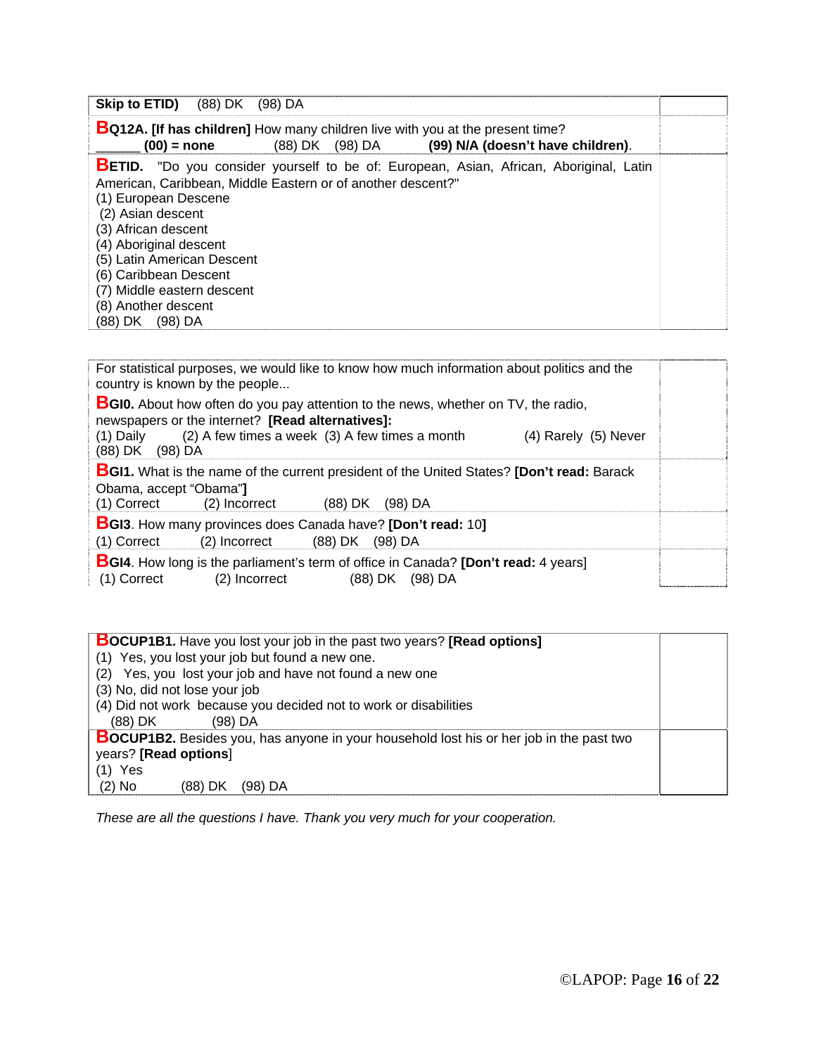| Skip to ETID)<br>(88) DK<br>$(98)$ DA                                                                                                                                                                                                                                                       |                                                                                                                                                 |  |
|---------------------------------------------------------------------------------------------------------------------------------------------------------------------------------------------------------------------------------------------------------------------------------------------|-------------------------------------------------------------------------------------------------------------------------------------------------|--|
| $(00)$ = none                                                                                                                                                                                                                                                                               | <b>BQ12A.</b> [If has children] How many children live with you at the present time?<br>(99) N/A (doesn't have children).<br>(98) DA<br>(88) DK |  |
| American, Caribbean, Middle Eastern or of another descent?"<br>(1) European Descene<br>(2) Asian descent<br>(3) African descent<br>(4) Aboriginal descent<br>(5) Latin American Descent<br>(6) Caribbean Descent<br>(7) Middle eastern descent<br>(8) Another descent<br>(88) DK<br>(98) DA | <b>BETID.</b> "Do you consider yourself to be of: European, Asian, African, Aboriginal, Latin                                                   |  |

| For statistical purposes, we would like to know how much information about politics and the<br>country is known by the people                                                                                                                                 |  |  |
|---------------------------------------------------------------------------------------------------------------------------------------------------------------------------------------------------------------------------------------------------------------|--|--|
| <b>BGI0.</b> About how often do you pay attention to the news, whether on TV, the radio,<br>newspapers or the internet? [Read alternatives]:<br>(2) A few times a week (3) A few times a month<br>(1) Daily<br>$(4)$ Rarely $(5)$ Never<br>(88) DK<br>(98) DA |  |  |
| <b>BGI1.</b> What is the name of the current president of the United States? [Don't read: Barack<br>Obama, accept "Obama"]<br>$(1)$ Correct $(2)$ Incorrect<br>$(98)$ DA<br>(88) DK                                                                           |  |  |
| <b>BGI3.</b> How many provinces does Canada have? [Don't read: 10]<br>(1) Correct<br>(2) Incorrect<br>(88) DK (98) DA                                                                                                                                         |  |  |
| <b>BGI4.</b> How long is the parliament's term of office in Canada? <b>[Don't read:</b> 4 years]<br>(1) Correct<br>(88) DK<br>(98) DA<br>(2) Incorrect                                                                                                        |  |  |

| <b>BOCUP1B1.</b> Have you lost your job in the past two years? [Read options]                  |  |
|------------------------------------------------------------------------------------------------|--|
| (1) Yes, you lost your job but found a new one.                                                |  |
| (2) Yes, you lost your job and have not found a new one                                        |  |
| (3) No, did not lose your job                                                                  |  |
| (4) Did not work because you decided not to work or disabilities                               |  |
| (88) DK<br>(98) DA                                                                             |  |
| <b>BOCUP1B2.</b> Besides you, has anyone in your household lost his or her job in the past two |  |
| years? [Read options]                                                                          |  |
| $(1)$ Yes                                                                                      |  |
| $(2)$ No<br>(88) DK<br>(98) DA                                                                 |  |

*These are all the questions I have. Thank you very much for your cooperation.*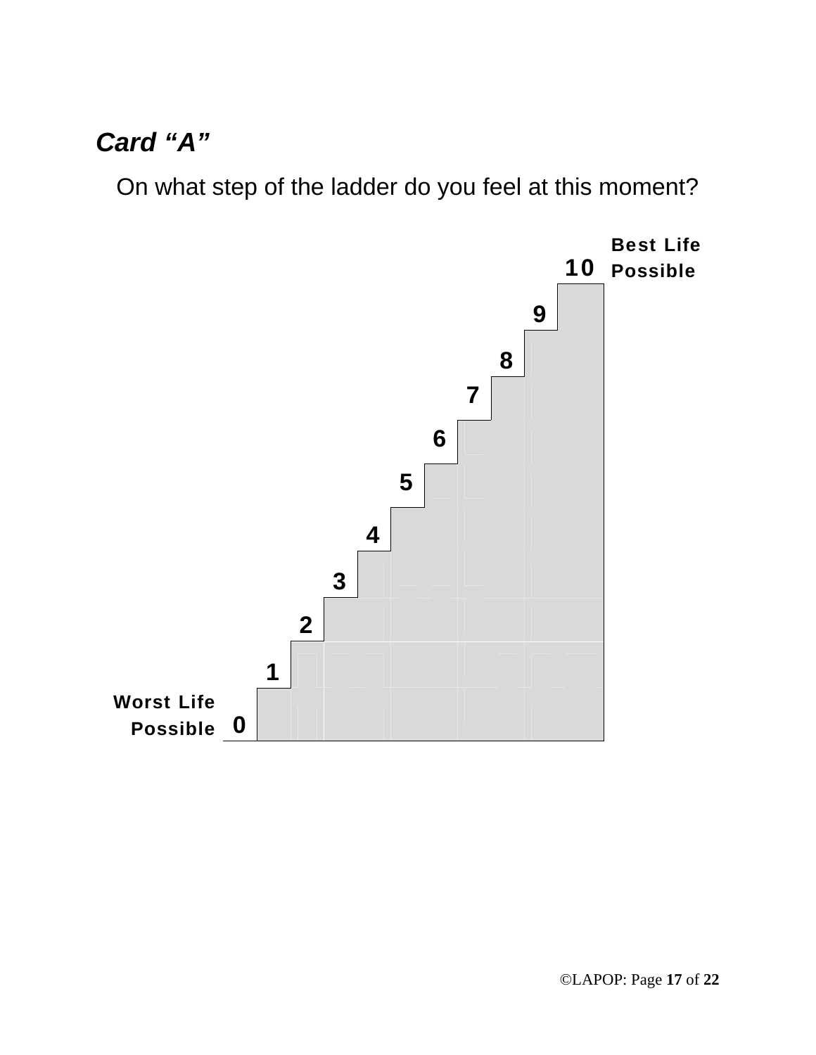## *Card "A"*

On what step of the ladder do you feel at this moment?

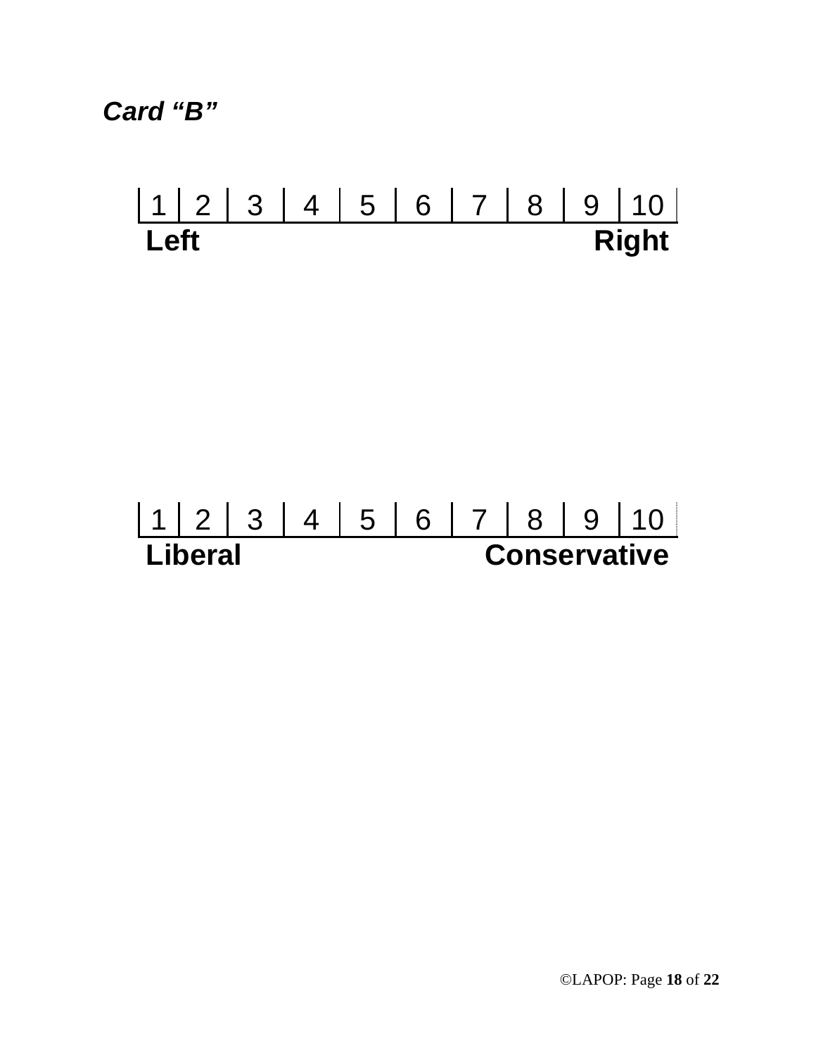*Card "B"* 

# 1 2 3 4 5 6 7 8 9 10 **Right**

# 1 2 3 4 5 6 7 8 9 10<br> **Liberal Conservative Conservative**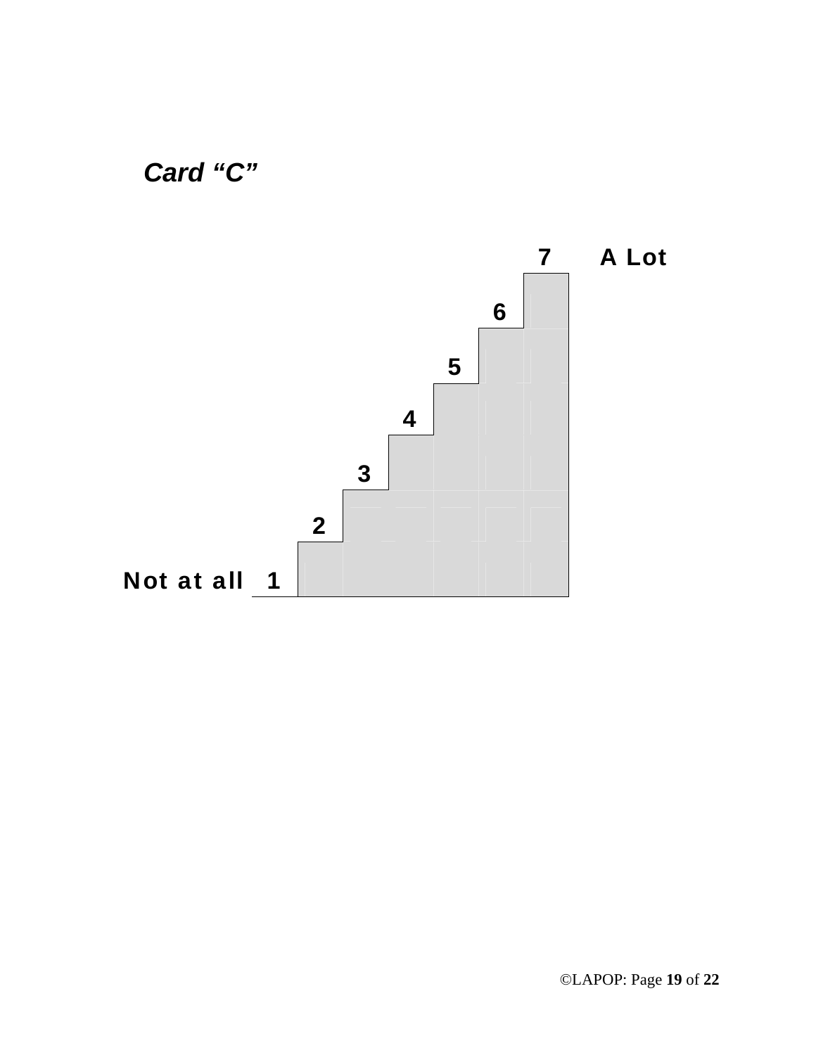

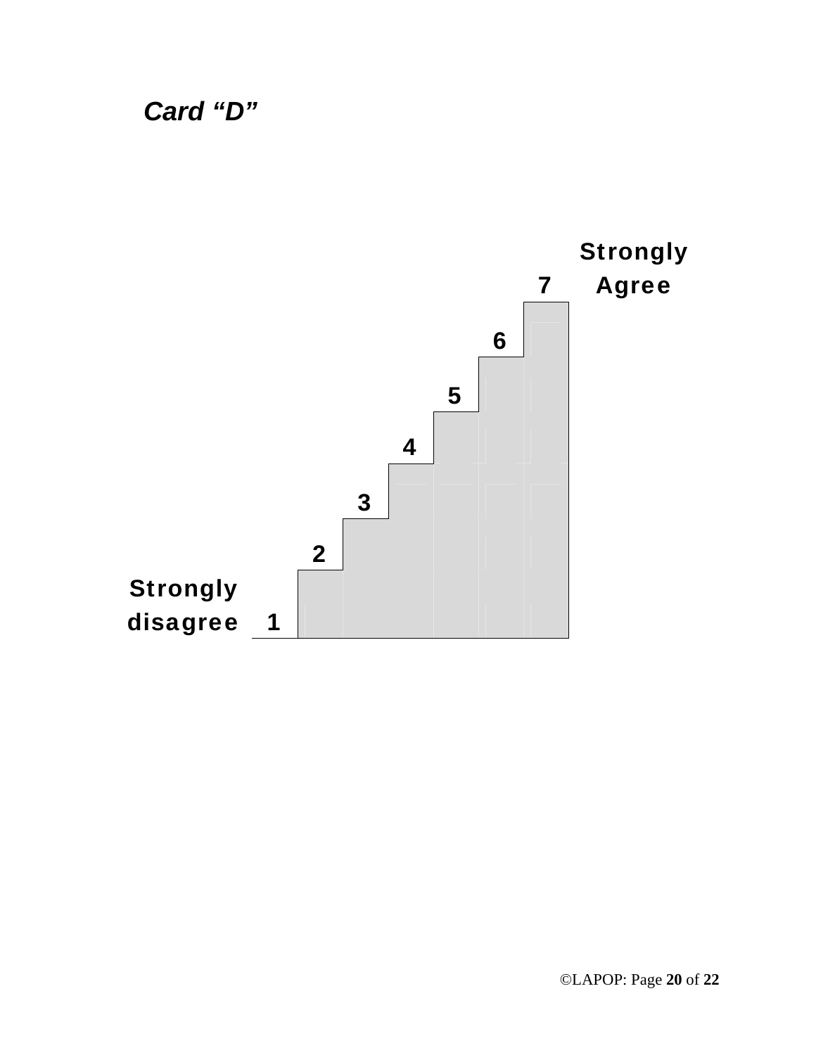*Card "D"* 

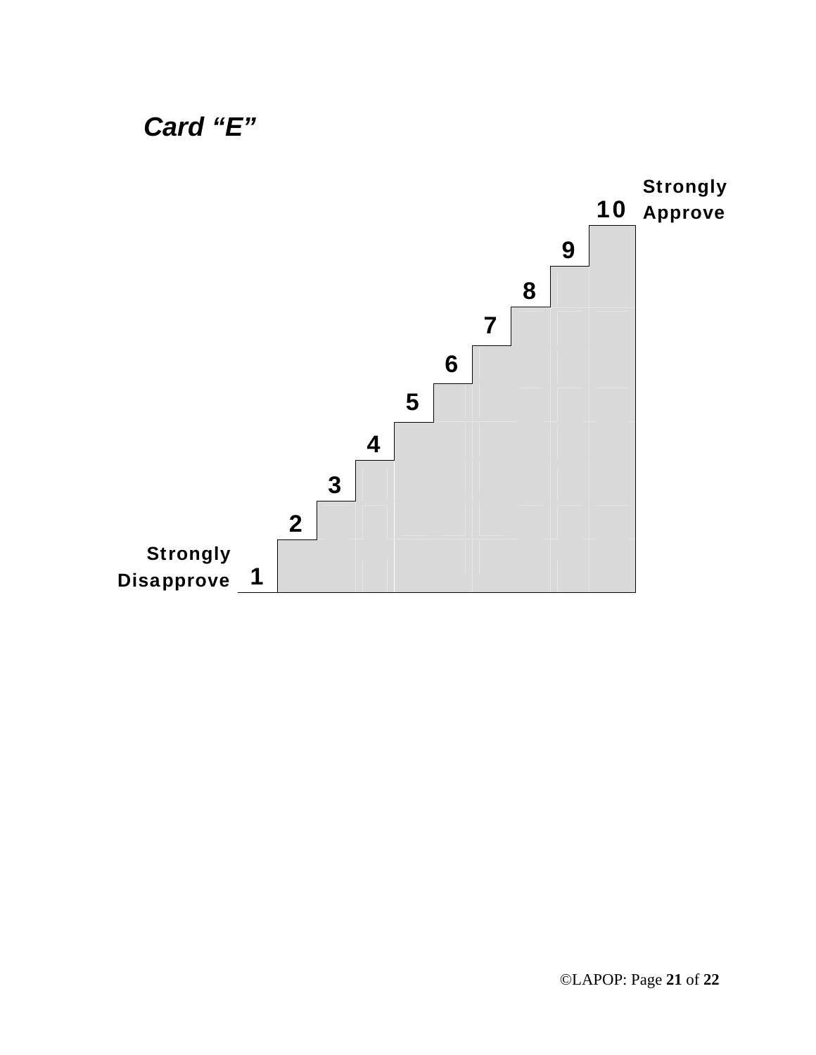

*Card "E"*